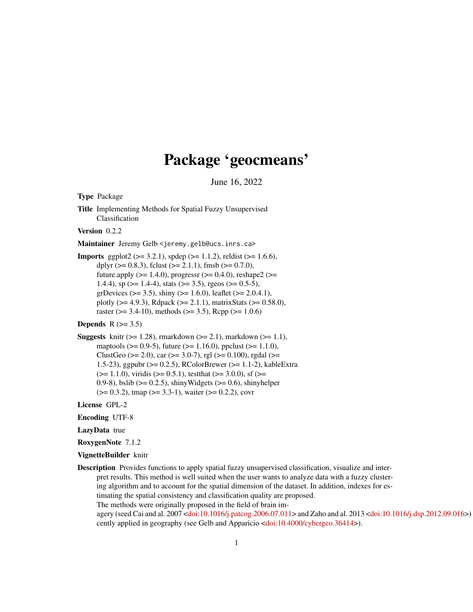## Package 'geocmeans'

June 16, 2022

Type Package

Title Implementing Methods for Spatial Fuzzy Unsupervised Classification

Version 0.2.2

Maintainer Jeremy Gelb <jeremy.gelb@ucs.inrs.ca>

**Imports** ggplot2 ( $>= 3.2.1$ ), spdep ( $>= 1.1.2$ ), reldist ( $>= 1.6.6$ ), dplyr ( $> = 0.8.3$ ), fclust ( $>= 2.1.1$ ), fmsb ( $>= 0.7.0$ ), future.apply ( $>= 1.4.0$ ), progressr ( $>= 0.4.0$ ), reshape2 ( $>=$ 1.4.4), sp ( $>= 1.4-4$ ), stats ( $>= 3.5$ ), rgeos ( $>= 0.5-5$ ), grDevices ( $> = 3.5$ ), shiny ( $> = 1.6.0$ ), leaflet ( $> = 2.0.4.1$ ), plotly ( $>= 4.9.3$ ), Rdpack ( $>= 2.1.1$ ), matrixStats ( $>= 0.58.0$ ), raster ( $> = 3.4-10$ ), methods ( $>= 3.5$ ), Rcpp ( $>= 1.0.6$ )

### Depends  $R$  ( $> = 3.5$ )

**Suggests** knitr ( $>= 1.28$ ), rmarkdown ( $>= 2.1$ ), markdown ( $>= 1.1$ ), maptools ( $> = 0.9-5$ ), future ( $> = 1.16.0$ ), ppclust ( $> = 1.1.0$ ), ClustGeo ( $>= 2.0$ ), car ( $>= 3.0-7$ ), rgl ( $>= 0.100$ ), rgdal ( $>=$ 1.5-23), ggpubr (>= 0.2.5), RColorBrewer (>= 1.1-2), kableExtra  $(>= 1.1.0)$ , viridis  $(>= 0.5.1)$ , test that  $(>= 3.0.0)$ , sf  $(>= 1.1.0)$ 0.9-8), bslib ( $> = 0.2.5$ ), shinyWidgets ( $> = 0.6$ ), shinyhelper  $(>= 0.3.2)$ , tmap  $(>= 3.3-1)$ , waiter  $(>= 0.2.2)$ , covr

License GPL-2

Encoding UTF-8

LazyData true

- RoxygenNote 7.1.2
- VignetteBuilder knitr
- Description Provides functions to apply spatial fuzzy unsupervised classification, visualize and interpret results. This method is well suited when the user wants to analyze data with a fuzzy clustering algorithm and to account for the spatial dimension of the dataset. In addition, indexes for estimating the spatial consistency and classification quality are proposed. The methods were originally proposed in the field of brain im-agery (seed Cai and al. 2007 [<doi:10.1016/j.patcog.2006.07.011>](https://doi.org/10.1016/j.patcog.2006.07.011) and Zaho and al. 2013 [<doi:10.1016/j.dsp.2012.09.016>](https://doi.org/10.1016/j.dsp.2012.09.016)) cently applied in geography (see Gelb and Apparicio [<doi:10.4000/cybergeo.36414>](https://doi.org/10.4000/cybergeo.36414)).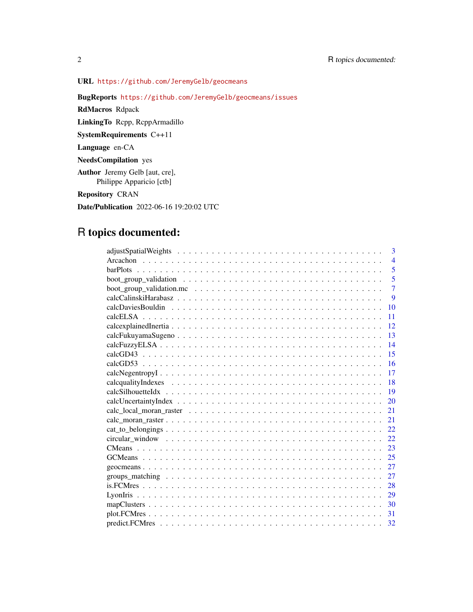URL <https://github.com/JeremyGelb/geocmeans>

BugReports <https://github.com/JeremyGelb/geocmeans/issues>

RdMacros Rdpack

LinkingTo Rcpp, RcppArmadillo

SystemRequirements C++11

Language en-CA

NeedsCompilation yes

Author Jeremy Gelb [aut, cre], Philippe Apparicio [ctb]

Repository CRAN

Date/Publication 2022-06-16 19:20:02 UTC

## R topics documented:

| 3                                                                                                                                                                                                                                  |
|------------------------------------------------------------------------------------------------------------------------------------------------------------------------------------------------------------------------------------|
| $\overline{4}$                                                                                                                                                                                                                     |
| 5                                                                                                                                                                                                                                  |
| 5                                                                                                                                                                                                                                  |
| $\overline{7}$                                                                                                                                                                                                                     |
| 9                                                                                                                                                                                                                                  |
| 10                                                                                                                                                                                                                                 |
| 11                                                                                                                                                                                                                                 |
| 12                                                                                                                                                                                                                                 |
| 13                                                                                                                                                                                                                                 |
| 14                                                                                                                                                                                                                                 |
| 15                                                                                                                                                                                                                                 |
| 16                                                                                                                                                                                                                                 |
| 17                                                                                                                                                                                                                                 |
| 18                                                                                                                                                                                                                                 |
| 19                                                                                                                                                                                                                                 |
| 20                                                                                                                                                                                                                                 |
| 21                                                                                                                                                                                                                                 |
| 21                                                                                                                                                                                                                                 |
| 22.                                                                                                                                                                                                                                |
| 22                                                                                                                                                                                                                                 |
| 23                                                                                                                                                                                                                                 |
| 25                                                                                                                                                                                                                                 |
| 27                                                                                                                                                                                                                                 |
| groups _matching \cdot \cdot \cdot \cdot \cdot \cdot \cdot \cdot \cdot \cdot \cdot \cdot \cdot \cdot \cdot \cdot \cdot \cdot \cdot \cdot \cdot \cdot \cdot \cdot \cdot \cdot \cdot \cdot \cdot \cdot \cdot \cdot \cdot \cdot<br>27 |
| 28                                                                                                                                                                                                                                 |
| 29                                                                                                                                                                                                                                 |
| 30                                                                                                                                                                                                                                 |
| 31                                                                                                                                                                                                                                 |
| 32                                                                                                                                                                                                                                 |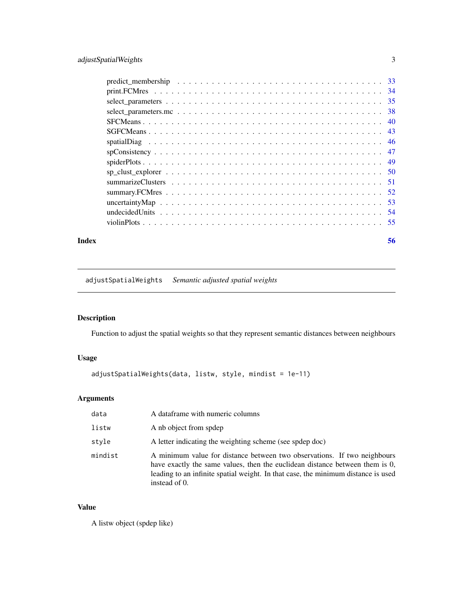<span id="page-2-0"></span>

| Index | 56 |
|-------|----|

adjustSpatialWeights *Semantic adjusted spatial weights*

### Description

Function to adjust the spatial weights so that they represent semantic distances between neighbours

### Usage

```
adjustSpatialWeights(data, listw, style, mindist = 1e-11)
```
### Arguments

| data    | A data frame with numeric columns                                                                                                                                                                                                                              |
|---------|----------------------------------------------------------------------------------------------------------------------------------------------------------------------------------------------------------------------------------------------------------------|
| listw   | A nb object from spdep                                                                                                                                                                                                                                         |
| style   | A letter indicating the weighting scheme (see spdep doc)                                                                                                                                                                                                       |
| mindist | A minimum value for distance between two observations. If two neighbours<br>have exactly the same values, then the euclidean distance between them is 0,<br>leading to an infinite spatial weight. In that case, the minimum distance is used<br>instead of 0. |

### Value

A listw object (spdep like)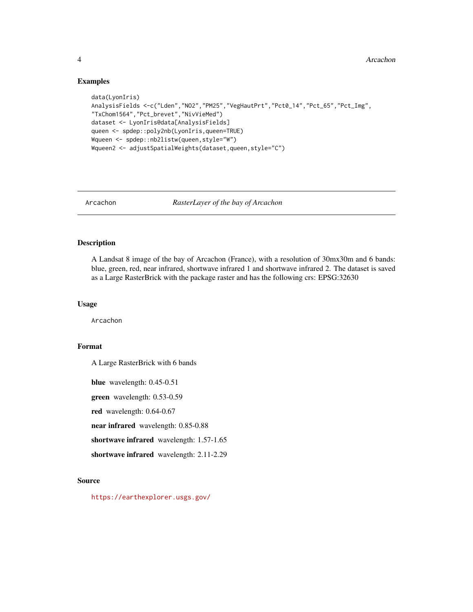#### Examples

```
data(LyonIris)
AnalysisFields <-c("Lden","NO2","PM25","VegHautPrt","Pct0_14","Pct_65","Pct_Img",
"TxChom1564","Pct_brevet","NivVieMed")
dataset <- LyonIris@data[AnalysisFields]
queen <- spdep::poly2nb(LyonIris,queen=TRUE)
Wqueen <- spdep::nb2listw(queen,style="W")
Wqueen2 <- adjustSpatialWeights(dataset,queen,style="C")
```
Arcachon *RasterLayer of the bay of Arcachon*

### Description

A Landsat 8 image of the bay of Arcachon (France), with a resolution of 30mx30m and 6 bands: blue, green, red, near infrared, shortwave infrared 1 and shortwave infrared 2. The dataset is saved as a Large RasterBrick with the package raster and has the following crs: EPSG:32630

#### Usage

Arcachon

### Format

A Large RasterBrick with 6 bands

blue wavelength: 0.45-0.51

green wavelength: 0.53-0.59

red wavelength: 0.64-0.67

near infrared wavelength: 0.85-0.88

shortwave infrared wavelength: 1.57-1.65

shortwave infrared wavelength: 2.11-2.29

#### Source

<https://earthexplorer.usgs.gov/>

<span id="page-3-0"></span>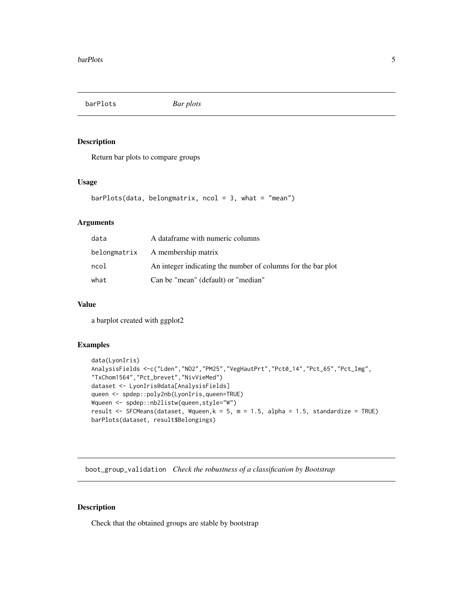<span id="page-4-0"></span>barPlots *Bar plots*

### Description

Return bar plots to compare groups

#### Usage

```
barPlots(data, belonging to the following equation:\n<math>\begin{bmatrix}\n a &amp; b \\
 c &amp; d\n \end{bmatrix}</math>\n<math>\begin{bmatrix}\n a &amp; b \\
 c &amp; d\n \end{bmatrix}</math>\n<math>\begin{bmatrix}\n a &amp; b \\
 c &amp; d\n \end{bmatrix}</math>
```
### Arguments

| data | A dataframe with numeric columns                             |
|------|--------------------------------------------------------------|
|      | belong matrix A membership matrix                            |
| ncol | An integer indicating the number of columns for the bar plot |
| what | Can be "mean" (default) or "median"                          |

### Value

a barplot created with ggplot2

### Examples

```
data(LyonIris)
AnalysisFields <-c("Lden","NO2","PM25","VegHautPrt","Pct0_14","Pct_65","Pct_Img",
"TxChom1564","Pct_brevet","NivVieMed")
dataset <- LyonIris@data[AnalysisFields]
queen <- spdep::poly2nb(LyonIris,queen=TRUE)
Wqueen <- spdep::nb2listw(queen,style="W")
result <- SFCMeans(dataset, Wqueen, k = 5, m = 1.5, alpha = 1.5, standardize = TRUE)
barPlots(dataset, result$Belongings)
```
boot\_group\_validation *Check the robustness of a classification by Bootstrap*

#### Description

Check that the obtained groups are stable by bootstrap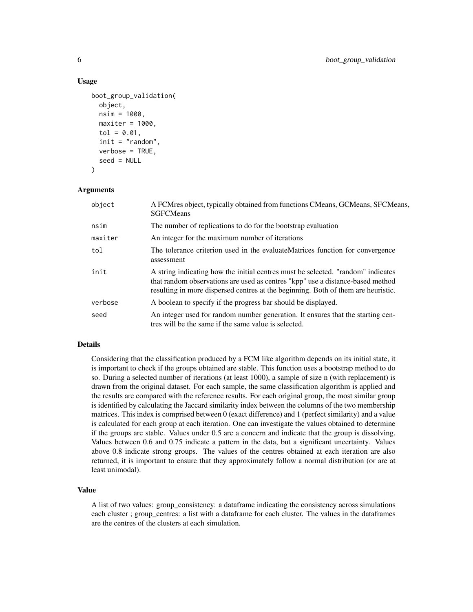#### Usage

```
boot_group_validation(
  object,
  nsim = 1000,
  maxiter = 1000,tol = 0.01,
  init = "random",
  verbose = TRUE,
  seed = NULL
)
```
#### Arguments

| object  | A FCMres object, typically obtained from functions CMeans, GCMeans, SFCMeans,<br><b>SGFCMeans</b>                                                                                                                                                       |
|---------|---------------------------------------------------------------------------------------------------------------------------------------------------------------------------------------------------------------------------------------------------------|
| nsim    | The number of replications to do for the bootstrap evaluation                                                                                                                                                                                           |
| maxiter | An integer for the maximum number of iterations                                                                                                                                                                                                         |
| tol     | The tolerance criterion used in the evaluateMatrices function for convergence<br>assessment                                                                                                                                                             |
| init    | A string indicating how the initial centres must be selected. "random" indicates<br>that random observations are used as centres "kpp" use a distance-based method<br>resulting in more dispersed centres at the beginning. Both of them are heuristic. |
| verbose | A boolean to specify if the progress bar should be displayed.                                                                                                                                                                                           |
| seed    | An integer used for random number generation. It ensures that the starting cen-<br>tres will be the same if the same value is selected.                                                                                                                 |

#### Details

Considering that the classification produced by a FCM like algorithm depends on its initial state, it is important to check if the groups obtained are stable. This function uses a bootstrap method to do so. During a selected number of iterations (at least 1000), a sample of size n (with replacement) is drawn from the original dataset. For each sample, the same classification algorithm is applied and the results are compared with the reference results. For each original group, the most similar group is identified by calculating the Jaccard similarity index between the columns of the two membership matrices. This index is comprised between 0 (exact difference) and 1 (perfect similarity) and a value is calculated for each group at each iteration. One can investigate the values obtained to determine if the groups are stable. Values under 0.5 are a concern and indicate that the group is dissolving. Values between 0.6 and 0.75 indicate a pattern in the data, but a significant uncertainty. Values above 0.8 indicate strong groups. The values of the centres obtained at each iteration are also returned, it is important to ensure that they approximately follow a normal distribution (or are at least unimodal).

### Value

A list of two values: group\_consistency: a dataframe indicating the consistency across simulations each cluster ; group centres: a list with a dataframe for each cluster. The values in the dataframes are the centres of the clusters at each simulation.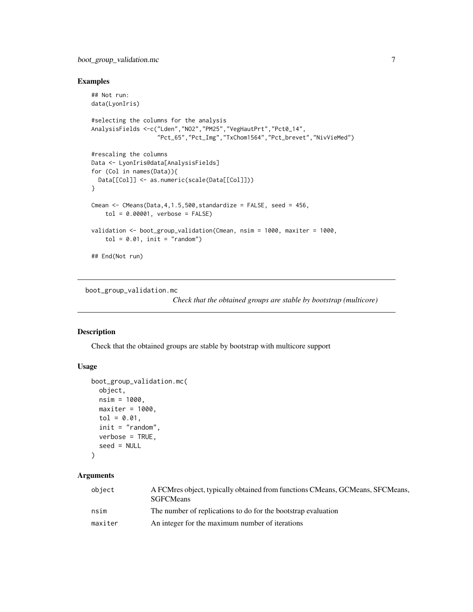### <span id="page-6-0"></span>boot\_group\_validation.mc 7

### Examples

```
## Not run:
data(LyonIris)
#selecting the columns for the analysis
AnalysisFields <-c("Lden","NO2","PM25","VegHautPrt","Pct0_14",
                   "Pct_65","Pct_Img","TxChom1564","Pct_brevet","NivVieMed")
#rescaling the columns
Data <- LyonIris@data[AnalysisFields]
for (Col in names(Data)){
 Data[[Col]] <- as.numeric(scale(Data[[Col]]))
}
Cmean \leq CMeans(Data, 4, 1.5, 500, standardize = FALSE, seed = 456,
   tol = 0.00001, verbose = FALSE)
validation <- boot_group_validation(Cmean, nsim = 1000, maxiter = 1000,
    tol = 0.01, init = "random")## End(Not run)
```
boot\_group\_validation.mc

*Check that the obtained groups are stable by bootstrap (multicore)*

### Description

Check that the obtained groups are stable by bootstrap with multicore support

### Usage

```
boot_group_validation.mc(
  object,
 nsim = 1000,
 maxiter = 1000,tol = 0.01,
  init = "random",
  verbose = TRUE,
  seed = NULL
\lambda
```
### Arguments

| object  | A FCMres object, typically obtained from functions CMeans, GCMeans, SFCMeans,<br><b>SGFCMeans</b> |
|---------|---------------------------------------------------------------------------------------------------|
| nsim    | The number of replications to do for the bootstrap evaluation                                     |
| maxiter | An integer for the maximum number of iterations                                                   |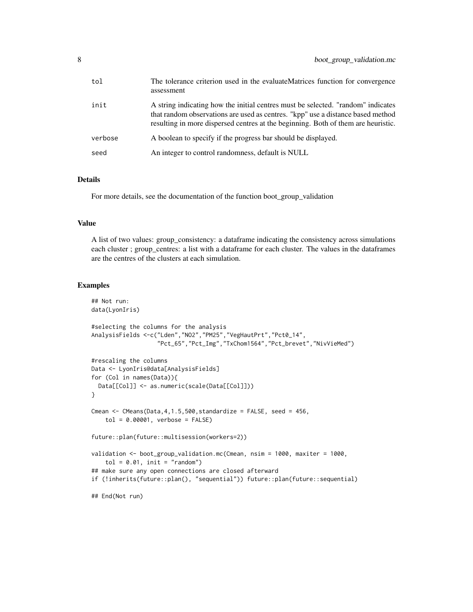| tol     | The tolerance criterion used in the evaluateMatrices function for convergence<br>assessment                                                                                                                                                              |
|---------|----------------------------------------------------------------------------------------------------------------------------------------------------------------------------------------------------------------------------------------------------------|
| init    | A string indicating how the initial centres must be selected. "random" indicates<br>that random observations are used as centres. "kpp" use a distance based method<br>resulting in more dispersed centres at the beginning. Both of them are heuristic. |
| verbose | A boolean to specify if the progress bar should be displayed.                                                                                                                                                                                            |
| seed    | An integer to control randomness, default is NULL                                                                                                                                                                                                        |

#### Details

For more details, see the documentation of the function boot\_group\_validation

### Value

A list of two values: group\_consistency: a dataframe indicating the consistency across simulations each cluster ; group\_centres: a list with a dataframe for each cluster. The values in the dataframes are the centres of the clusters at each simulation.

```
## Not run:
data(LyonIris)
#selecting the columns for the analysis
AnalysisFields <-c("Lden","NO2","PM25","VegHautPrt","Pct0_14",
                   "Pct_65","Pct_Img","TxChom1564","Pct_brevet","NivVieMed")
#rescaling the columns
Data <- LyonIris@data[AnalysisFields]
for (Col in names(Data)){
 Data[[Col]] <- as.numeric(scale(Data[[Col]]))
}
Cmean \leq CMeans(Data, 4, 1.5, 500, standardize = FALSE, seed = 456,
    tol = 0.00001, verbose = FALSE)
future::plan(future::multisession(workers=2))
validation <- boot_group_validation.mc(Cmean, nsim = 1000, maxiter = 1000,
    tol = 0.01, init = "random")## make sure any open connections are closed afterward
if (!inherits(future::plan(), "sequential")) future::plan(future::sequential)
## End(Not run)
```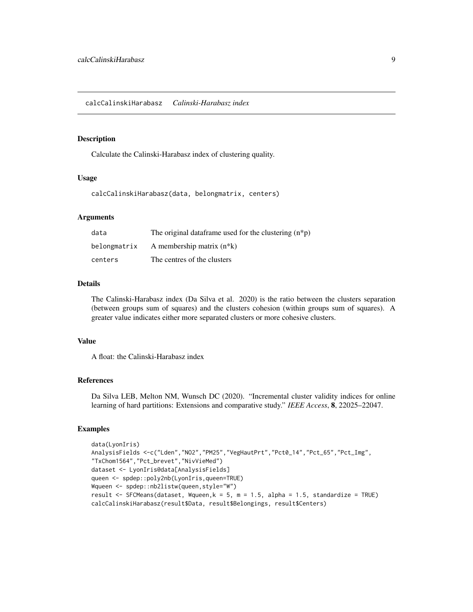<span id="page-8-0"></span>Calculate the Calinski-Harabasz index of clustering quality.

#### Usage

calcCalinskiHarabasz(data, belongmatrix, centers)

#### Arguments

| data         | The original data frame used for the clustering $(n * p)$ |
|--------------|-----------------------------------------------------------|
| belongmatrix | A membership matrix $(n*k)$                               |
| centers      | The centres of the clusters                               |

#### Details

The Calinski-Harabasz index (Da Silva et al. 2020) is the ratio between the clusters separation (between groups sum of squares) and the clusters cohesion (within groups sum of squares). A greater value indicates either more separated clusters or more cohesive clusters.

### Value

A float: the Calinski-Harabasz index

### References

Da Silva LEB, Melton NM, Wunsch DC (2020). "Incremental cluster validity indices for online learning of hard partitions: Extensions and comparative study." *IEEE Access*, 8, 22025–22047.

```
data(LyonIris)
AnalysisFields <-c("Lden","NO2","PM25","VegHautPrt","Pct0_14","Pct_65","Pct_Img",
"TxChom1564","Pct_brevet","NivVieMed")
dataset <- LyonIris@data[AnalysisFields]
queen <- spdep::poly2nb(LyonIris,queen=TRUE)
Wqueen <- spdep::nb2listw(queen,style="W")
result <- SFCMeans(dataset, Wqueen, k = 5, m = 1.5, alpha = 1.5, standardize = TRUE)
calcCalinskiHarabasz(result$Data, result$Belongings, result$Centers)
```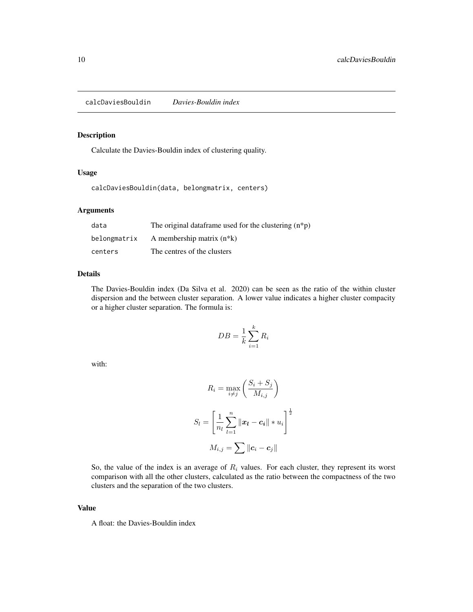<span id="page-9-0"></span>calcDaviesBouldin *Davies-Bouldin index*

### Description

Calculate the Davies-Bouldin index of clustering quality.

#### Usage

calcDaviesBouldin(data, belongmatrix, centers)

#### Arguments

| data         | The original data frame used for the clustering $(n * p)$ |
|--------------|-----------------------------------------------------------|
| belongmatrix | A membership matrix $(n*k)$                               |
| centers      | The centres of the clusters                               |

#### Details

The Davies-Bouldin index (Da Silva et al. 2020) can be seen as the ratio of the within cluster dispersion and the between cluster separation. A lower value indicates a higher cluster compacity or a higher cluster separation. The formula is:

$$
DB = \frac{1}{k} \sum_{i=1}^{k} R_i
$$

with:

$$
R_i = \max_{i \neq j} \left( \frac{S_i + S_j}{M_{i,j}} \right)
$$
  

$$
S_l = \left[ \frac{1}{n_l} \sum_{l=1}^n ||\boldsymbol{x}_l - \boldsymbol{c}_i|| * u_i \right]^{\frac{1}{2}}
$$
  

$$
M_{i,j} = \sum ||\boldsymbol{c}_i - \boldsymbol{c}_j||
$$

So, the value of the index is an average of  $R_i$  values. For each cluster, they represent its worst comparison with all the other clusters, calculated as the ratio between the compactness of the two clusters and the separation of the two clusters.

#### Value

A float: the Davies-Bouldin index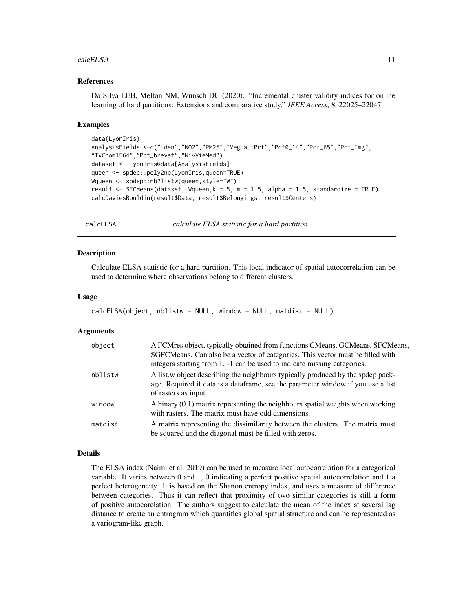#### <span id="page-10-0"></span>calcELSA 11

#### References

Da Silva LEB, Melton NM, Wunsch DC (2020). "Incremental cluster validity indices for online learning of hard partitions: Extensions and comparative study." *IEEE Access*, 8, 22025–22047.

#### Examples

```
data(LyonIris)
AnalysisFields <-c("Lden","NO2","PM25","VegHautPrt","Pct0_14","Pct_65","Pct_Img",
"TxChom1564","Pct_brevet","NivVieMed")
dataset <- LyonIris@data[AnalysisFields]
queen <- spdep::poly2nb(LyonIris,queen=TRUE)
Wqueen <- spdep::nb2listw(queen,style="W")
result <- SFCMeans(dataset, Wqueen,k = 5, m = 1.5, alpha = 1.5, standardize = TRUE)
calcDaviesBouldin(result$Data, result$Belongings, result$Centers)
```
calcELSA *calculate ELSA statistic for a hard partition*

#### **Description**

Calculate ELSA statistic for a hard partition. This local indicator of spatial autocorrelation can be used to determine where observations belong to different clusters.

#### Usage

```
calcELSA(object, nblistw = NULL, window = NULL, maddist = NULL)
```
#### Arguments

| object  | A FCMres object, typically obtained from functions CMeans, GCMeans, SFCMeans,<br>SGFCMeans. Can also be a vector of categories. This vector must be filled with<br>integers starting from 1. -1 can be used to indicate missing categories. |
|---------|---------------------------------------------------------------------------------------------------------------------------------------------------------------------------------------------------------------------------------------------|
| nblistw | A list, w object describing the neighbours typically produced by the spdep pack-<br>age. Required if data is a dataframe, see the parameter window if you use a list<br>of rasters as input.                                                |
| window  | A binary $(0,1)$ matrix representing the neighbours spatial weights when working<br>with rasters. The matrix must have odd dimensions.                                                                                                      |
| matdist | A matrix representing the dissimilarity between the clusters. The matrix must<br>be squared and the diagonal must be filled with zeros.                                                                                                     |

#### Details

The ELSA index (Naimi et al. 2019) can be used to measure local autocorrelation for a categorical variable. It varies between 0 and 1, 0 indicating a perfect positive spatial autocorrelation and 1 a perfect heterogeneity. It is based on the Shanon entropy index, and uses a measure of difference between categories. Thus it can reflect that proximity of two similar categories is still a form of positive autocorelation. The authors suggest to calculate the mean of the index at several lag distance to create an entrogram which quantifies global spatial structure and can be represented as a variogram-like graph.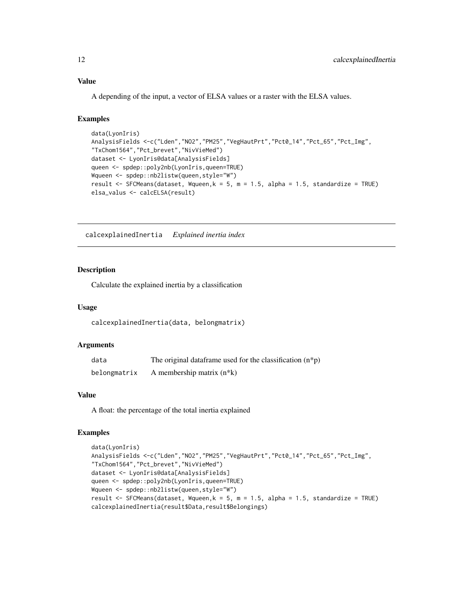A depending of the input, a vector of ELSA values or a raster with the ELSA values.

### Examples

```
data(LyonIris)
AnalysisFields <-c("Lden","NO2","PM25","VegHautPrt","Pct0_14","Pct_65","Pct_Img",
"TxChom1564","Pct_brevet","NivVieMed")
dataset <- LyonIris@data[AnalysisFields]
queen <- spdep::poly2nb(LyonIris,queen=TRUE)
Wqueen <- spdep::nb2listw(queen,style="W")
result <- SFCMeans(dataset, Wqueen,k = 5, m = 1.5, alpha = 1.5, standardize = TRUE)
elsa_valus <- calcELSA(result)
```
calcexplainedInertia *Explained inertia index*

### Description

Calculate the explained inertia by a classification

#### Usage

```
calcexplainedInertia(data, belongmatrix)
```
#### Arguments

| data         | The original data frame used for the classification $(n * p)$ |
|--------------|---------------------------------------------------------------|
| belongmatrix | A membership matrix $(n*k)$                                   |

### Value

A float: the percentage of the total inertia explained

```
data(LyonIris)
AnalysisFields <-c("Lden","NO2","PM25","VegHautPrt","Pct0_14","Pct_65","Pct_Img",
"TxChom1564","Pct_brevet","NivVieMed")
dataset <- LyonIris@data[AnalysisFields]
queen <- spdep::poly2nb(LyonIris,queen=TRUE)
Wqueen <- spdep::nb2listw(queen,style="W")
result <- SFCMeans(dataset, Wqueen,k = 5, m = 1.5, alpha = 1.5, standardize = TRUE)
calcexplainedInertia(result$Data,result$Belongings)
```
<span id="page-11-0"></span>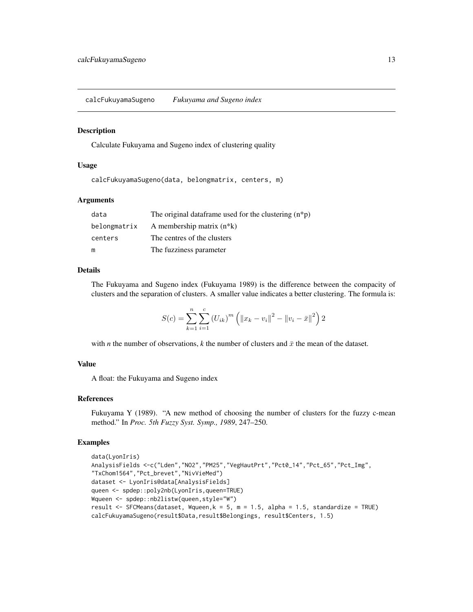<span id="page-12-0"></span>calcFukuyamaSugeno *Fukuyama and Sugeno index*

#### Description

Calculate Fukuyama and Sugeno index of clustering quality

#### Usage

calcFukuyamaSugeno(data, belongmatrix, centers, m)

#### Arguments

| data         | The original data frame used for the clustering $(n * p)$ |
|--------------|-----------------------------------------------------------|
| belongmatrix | A membership matrix $(n*k)$                               |
| centers      | The centres of the clusters                               |
| m            | The fuzziness parameter                                   |

#### Details

The Fukuyama and Sugeno index (Fukuyama 1989) is the difference between the compacity of clusters and the separation of clusters. A smaller value indicates a better clustering. The formula is:

$$
S(c) = \sum_{k=1}^{n} \sum_{i=1}^{c} (U_{ik})^{m} \left( ||x_k - v_i||^2 - ||v_i - \bar{x}||^2 \right) 2
$$

with *n* the number of observations, *k* the number of clusters and  $\bar{x}$  the mean of the dataset.

### Value

A float: the Fukuyama and Sugeno index

#### References

Fukuyama Y (1989). "A new method of choosing the number of clusters for the fuzzy c-mean method." In *Proc. 5th Fuzzy Syst. Symp., 1989*, 247–250.

```
data(LyonIris)
AnalysisFields <-c("Lden","NO2","PM25","VegHautPrt","Pct0_14","Pct_65","Pct_Img",
"TxChom1564","Pct_brevet","NivVieMed")
dataset <- LyonIris@data[AnalysisFields]
queen <- spdep::poly2nb(LyonIris,queen=TRUE)
Wqueen <- spdep::nb2listw(queen,style="W")
result <- SFCMeans(dataset, Wqueen,k = 5, m = 1.5, alpha = 1.5, standardize = TRUE)
calcFukuyamaSugeno(result$Data,result$Belongings, result$Centers, 1.5)
```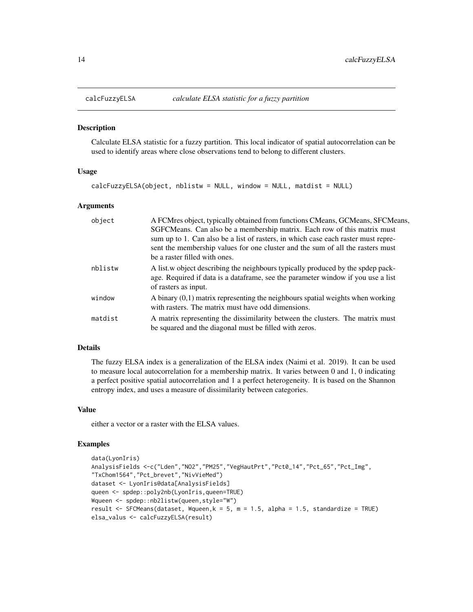<span id="page-13-0"></span>

Calculate ELSA statistic for a fuzzy partition. This local indicator of spatial autocorrelation can be used to identify areas where close observations tend to belong to different clusters.

#### Usage

```
calcFuzzyELSA(object, nblistw = NULL, window = NULL, matdist = NULL)
```
#### Arguments

| object  | A FCMres object, typically obtained from functions CMeans, GCMeans, SFCMeans,<br>SGFCMeans. Can also be a membership matrix. Each row of this matrix must                                            |
|---------|------------------------------------------------------------------------------------------------------------------------------------------------------------------------------------------------------|
|         | sum up to 1. Can also be a list of rasters, in which case each raster must repre-<br>sent the membership values for one cluster and the sum of all the rasters must<br>be a raster filled with ones. |
| nblistw | A list, w object describing the neighbours typically produced by the spdep pack-<br>age. Required if data is a data frame, see the parameter window if you use a list<br>of rasters as input.        |
| window  | A binary $(0,1)$ matrix representing the neighbours spatial weights when working<br>with rasters. The matrix must have odd dimensions.                                                               |
| matdist | A matrix representing the dissimilarity between the clusters. The matrix must<br>be squared and the diagonal must be filled with zeros.                                                              |

### Details

The fuzzy ELSA index is a generalization of the ELSA index (Naimi et al. 2019). It can be used to measure local autocorrelation for a membership matrix. It varies between 0 and 1, 0 indicating a perfect positive spatial autocorrelation and 1 a perfect heterogeneity. It is based on the Shannon entropy index, and uses a measure of dissimilarity between categories.

#### Value

either a vector or a raster with the ELSA values.

```
data(LyonIris)
AnalysisFields <-c("Lden","NO2","PM25","VegHautPrt","Pct0_14","Pct_65","Pct_Img",
"TxChom1564","Pct_brevet","NivVieMed")
dataset <- LyonIris@data[AnalysisFields]
queen <- spdep::poly2nb(LyonIris,queen=TRUE)
Wqueen <- spdep::nb2listw(queen,style="W")
result <- SFCMeans(dataset, Wqueen,k = 5, m = 1.5, alpha = 1.5, standardize = TRUE)
elsa_valus <- calcFuzzyELSA(result)
```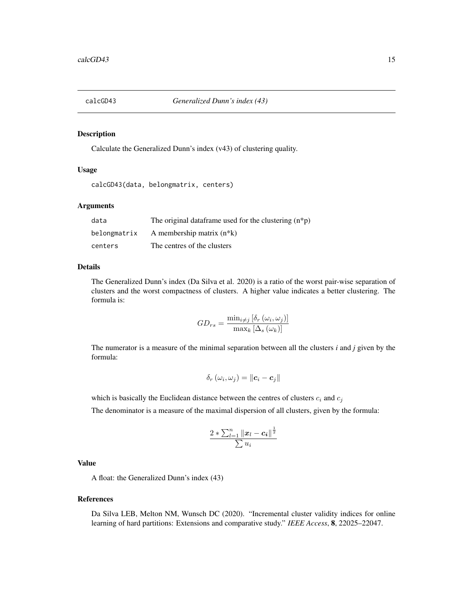<span id="page-14-0"></span>

Calculate the Generalized Dunn's index (v43) of clustering quality.

### Usage

```
calcGD43(data, belongmatrix, centers)
```
#### Arguments

| data         | The original data frame used for the clustering $(n * p)$ |
|--------------|-----------------------------------------------------------|
| belongmatrix | A membership matrix $(n*k)$                               |
| centers      | The centres of the clusters                               |

#### Details

The Generalized Dunn's index (Da Silva et al. 2020) is a ratio of the worst pair-wise separation of clusters and the worst compactness of clusters. A higher value indicates a better clustering. The formula is:

$$
GD_{rs} = \frac{\min_{i \neq j} [\delta_r(\omega_i, \omega_j)]}{\max_k [\Delta_s(\omega_k)]}
$$

The numerator is a measure of the minimal separation between all the clusters *i* and *j* given by the formula:

$$
\delta_r(\omega_i, \omega_j) = \|\boldsymbol{c}_i - \boldsymbol{c}_j\|
$$

which is basically the Euclidean distance between the centres of clusters  $c_i$  and  $c_j$ 

The denominator is a measure of the maximal dispersion of all clusters, given by the formula:

$$
\frac{2*\sum_{l=1}^n\|\boldsymbol{x}_l-\boldsymbol{c_i}\|^{\frac{1}{2}}}{\sum u_i}
$$

### Value

A float: the Generalized Dunn's index (43)

#### References

Da Silva LEB, Melton NM, Wunsch DC (2020). "Incremental cluster validity indices for online learning of hard partitions: Extensions and comparative study." *IEEE Access*, 8, 22025–22047.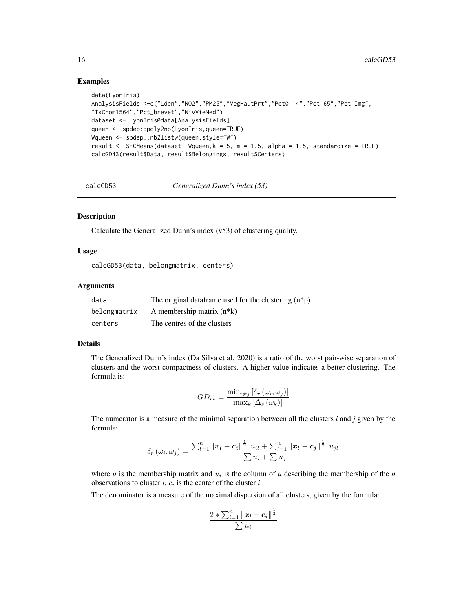### Examples

```
data(LyonIris)
AnalysisFields <-c("Lden","NO2","PM25","VegHautPrt","Pct0_14","Pct_65","Pct_Img",
"TxChom1564","Pct_brevet","NivVieMed")
dataset <- LyonIris@data[AnalysisFields]
queen <- spdep::poly2nb(LyonIris,queen=TRUE)
Wqueen <- spdep::nb2listw(queen,style="W")
result <- SFCMeans(dataset, Wqueen,k = 5, m = 1.5, alpha = 1.5, standardize = TRUE)
calcGD43(result$Data, result$Belongings, result$Centers)
```
calcGD53 *Generalized Dunn's index (53)*

### Description

Calculate the Generalized Dunn's index (v53) of clustering quality.

#### Usage

```
calcGD53(data, belongmatrix, centers)
```
#### Arguments

| data         | The original data frame used for the clustering $(n * p)$ |
|--------------|-----------------------------------------------------------|
| belongmatrix | A membership matrix $(n*k)$                               |
| centers      | The centres of the clusters                               |

#### Details

The Generalized Dunn's index (Da Silva et al. 2020) is a ratio of the worst pair-wise separation of clusters and the worst compactness of clusters. A higher value indicates a better clustering. The formula is:

$$
GD_{rs} = \frac{\min_{i \neq j} \left[ \delta_r \left( \omega_i, \omega_j \right) \right]}{\max_k \left[ \Delta_s \left( \omega_k \right) \right]}
$$

The numerator is a measure of the minimal separation between all the clusters *i* and *j* given by the formula:

$$
\delta_r(\omega_i, \omega_j) = \frac{\sum_{l=1}^n ||\bm{x_l} - \bm{c_i}||^{\frac{1}{2}} \cdot u_{il} + \sum_{l=1}^n ||\bm{x_l} - \bm{c_j}||^{\frac{1}{2}} \cdot u_{jl}}{\sum u_i + \sum u_j}
$$

where  $u$  is the membership matrix and  $u_i$  is the column of  $u$  describing the membership of the  $n$ observations to cluster *i*.  $c_i$  is the center of the cluster *i*.

The denominator is a measure of the maximal dispersion of all clusters, given by the formula:

$$
\frac{2*\sum_{l=1}^n\|\boldsymbol{x}_l-\boldsymbol{c_i}\|^{\frac{1}{2}}}{\sum u_i}
$$

<span id="page-15-0"></span>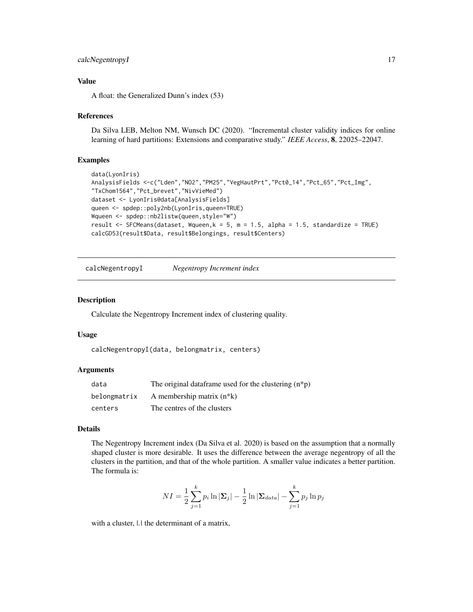### <span id="page-16-0"></span>calcNegentropyI 17

### Value

A float: the Generalized Dunn's index (53)

#### References

Da Silva LEB, Melton NM, Wunsch DC (2020). "Incremental cluster validity indices for online learning of hard partitions: Extensions and comparative study." *IEEE Access*, 8, 22025–22047.

#### Examples

```
data(LyonIris)
AnalysisFields <-c("Lden","NO2","PM25","VegHautPrt","Pct0_14","Pct_65","Pct_Img",
"TxChom1564","Pct_brevet","NivVieMed")
dataset <- LyonIris@data[AnalysisFields]
queen <- spdep::poly2nb(LyonIris,queen=TRUE)
Wqueen <- spdep::nb2listw(queen,style="W")
result <- SFCMeans(dataset, Wqueen, k = 5, m = 1.5, alpha = 1.5, standardize = TRUE)
calcGD53(result$Data, result$Belongings, result$Centers)
```
calcNegentropyI *Negentropy Increment index*

#### Description

Calculate the Negentropy Increment index of clustering quality.

#### Usage

```
calcNegentropyI(data, belongmatrix, centers)
```
### Arguments

| data         | The original data frame used for the clustering $(n * p)$ |
|--------------|-----------------------------------------------------------|
| belongmatrix | A membership matrix $(n*k)$                               |
| centers      | The centres of the clusters                               |

#### Details

The Negentropy Increment index (Da Silva et al. 2020) is based on the assumption that a normally shaped cluster is more desirable. It uses the difference between the average negentropy of all the clusters in the partition, and that of the whole partition. A smaller value indicates a better partition. The formula is:

$$
NI = \frac{1}{2} \sum_{j=1}^{k} p_i \ln |\Sigma_j| - \frac{1}{2} \ln |\Sigma_{data}| - \sum_{j=1}^{k} p_j \ln p_j
$$

with a cluster, *|.|* the determinant of a matrix,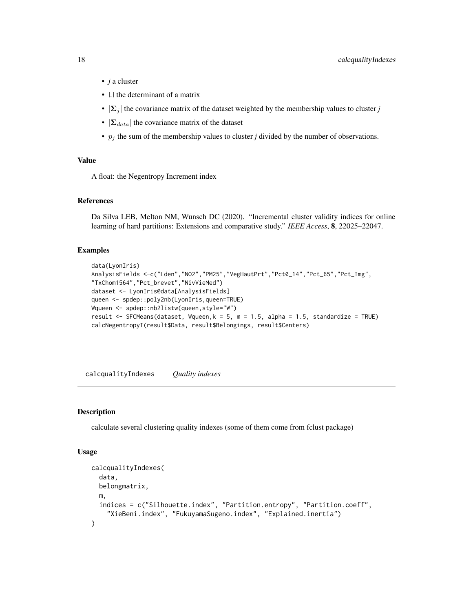- <span id="page-17-0"></span>• *j* a cluster
- *|.|* the determinant of a matrix
- $|\Sigma_j|$  the covariance matrix of the dataset weighted by the membership values to cluster *j*
- $|\Sigma_{data}|$  the covariance matrix of the dataset
- $p_j$  the sum of the membership values to cluster *j* divided by the number of observations.

#### Value

A float: the Negentropy Increment index

### References

Da Silva LEB, Melton NM, Wunsch DC (2020). "Incremental cluster validity indices for online learning of hard partitions: Extensions and comparative study." *IEEE Access*, 8, 22025–22047.

### Examples

```
data(LyonIris)
AnalysisFields <-c("Lden","NO2","PM25","VegHautPrt","Pct0_14","Pct_65","Pct_Img",
"TxChom1564","Pct_brevet","NivVieMed")
dataset <- LyonIris@data[AnalysisFields]
queen <- spdep::poly2nb(LyonIris,queen=TRUE)
Wqueen <- spdep::nb2listw(queen,style="W")
result <- SFCMeans(dataset, Wqueen,k = 5, m = 1.5, alpha = 1.5, standardize = TRUE)
calcNegentropyI(result$Data, result$Belongings, result$Centers)
```
calcqualityIndexes *Quality indexes*

#### **Description**

calculate several clustering quality indexes (some of them come from fclust package)

#### Usage

```
calcqualityIndexes(
  data,
  belongmatrix,
  m,
  indices = c("Silhouette.index", "Partition.entropy", "Partition.coeff",
    "XieBeni.index", "FukuyamaSugeno.index", "Explained.inertia")
)
```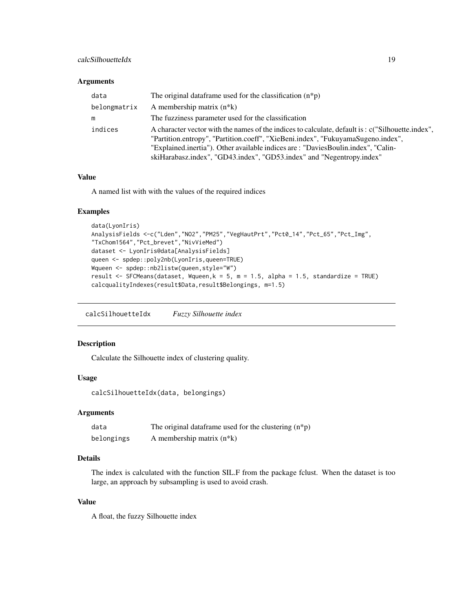### <span id="page-18-0"></span>calcSilhouetteIdx 19

### Arguments

| data         | The original data frame used for the classification $(n * p)$                                                                                                                                                                                                                                                                                     |
|--------------|---------------------------------------------------------------------------------------------------------------------------------------------------------------------------------------------------------------------------------------------------------------------------------------------------------------------------------------------------|
| belongmatrix | A membership matrix $(n*k)$                                                                                                                                                                                                                                                                                                                       |
| m            | The fuzziness parameter used for the classification                                                                                                                                                                                                                                                                                               |
| indices      | A character vector with the names of the indices to calculate, default is: c("Silhouette.index",<br>"Partition.entropy", "Partition.coeff", "XieBeni.index", "FukuyamaSugeno.index",<br>"Explained.inertia"). Other available indices are: "DaviesBoulin.index", "Calin-<br>skiHarabasz.index", "GD43.index", "GD53.index" and "Negentropy.index" |

#### Value

A named list with with the values of the required indices

### Examples

```
data(LyonIris)
AnalysisFields <-c("Lden","NO2","PM25","VegHautPrt","Pct0_14","Pct_65","Pct_Img",
"TxChom1564","Pct_brevet","NivVieMed")
dataset <- LyonIris@data[AnalysisFields]
queen <- spdep::poly2nb(LyonIris,queen=TRUE)
Wqueen <- spdep::nb2listw(queen,style="W")
result <- SFCMeans(dataset, Wqueen, k = 5, m = 1.5, alpha = 1.5, standardize = TRUE)
calcqualityIndexes(result$Data,result$Belongings, m=1.5)
```
calcSilhouetteIdx *Fuzzy Silhouette index*

### Description

Calculate the Silhouette index of clustering quality.

### Usage

```
calcSilhouetteIdx(data, belongings)
```
### Arguments

| data       | The original data frame used for the clustering $(n * p)$ |
|------------|-----------------------------------------------------------|
| belongings | A membership matrix $(n*k)$                               |

### Details

The index is calculated with the function SIL.F from the package fclust. When the dataset is too large, an approach by subsampling is used to avoid crash.

### Value

A float, the fuzzy Silhouette index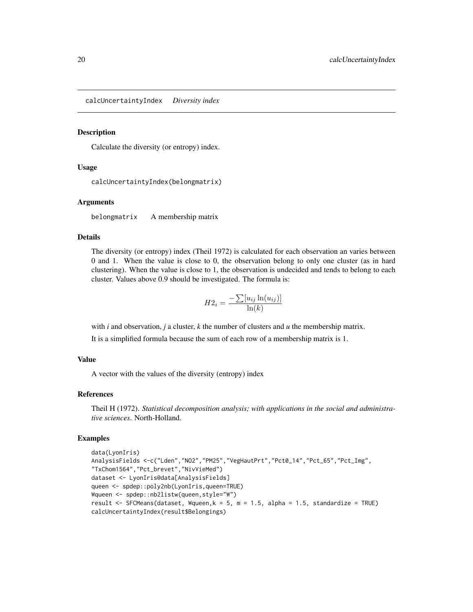<span id="page-19-0"></span>calcUncertaintyIndex *Diversity index*

#### **Description**

Calculate the diversity (or entropy) index.

#### Usage

```
calcUncertaintyIndex(belongmatrix)
```
#### Arguments

belongmatrix A membership matrix

#### Details

The diversity (or entropy) index (Theil 1972) is calculated for each observation an varies between 0 and 1. When the value is close to 0, the observation belong to only one cluster (as in hard clustering). When the value is close to 1, the observation is undecided and tends to belong to each cluster. Values above 0.9 should be investigated. The formula is:

$$
H2_i = \frac{-\sum [u_{ij}\ln(u_{ij})]}{\ln(k)}
$$

with *i* and observation, *j* a cluster, *k* the number of clusters and *u* the membership matrix.

It is a simplified formula because the sum of each row of a membership matrix is 1.

#### Value

A vector with the values of the diversity (entropy) index

### References

Theil H (1972). *Statistical decomposition analysis; with applications in the social and administrative sciences*. North-Holland.

```
data(LyonIris)
AnalysisFields <-c("Lden","NO2","PM25","VegHautPrt","Pct0_14","Pct_65","Pct_Img",
"TxChom1564","Pct_brevet","NivVieMed")
dataset <- LyonIris@data[AnalysisFields]
queen <- spdep::poly2nb(LyonIris,queen=TRUE)
Wqueen <- spdep::nb2listw(queen,style="W")
result \le SFCMeans(dataset, Wqueen, k = 5, m = 1.5, alpha = 1.5, standardize = TRUE)
calcUncertaintyIndex(result$Belongings)
```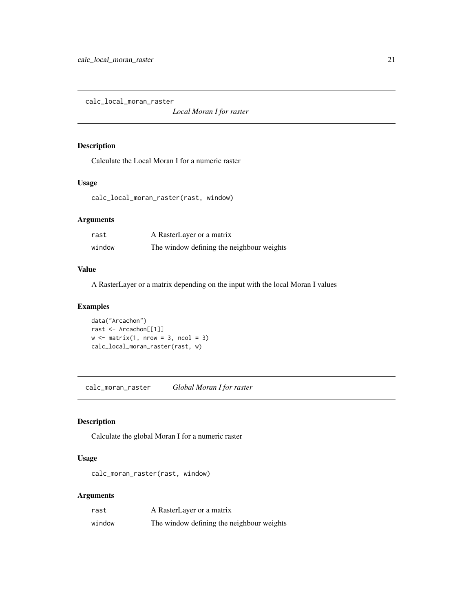<span id="page-20-0"></span>calc\_local\_moran\_raster

*Local Moran I for raster*

#### Description

Calculate the Local Moran I for a numeric raster

### Usage

calc\_local\_moran\_raster(rast, window)

### Arguments

| rast   | A RasterLayer or a matrix                 |
|--------|-------------------------------------------|
| window | The window defining the neighbour weights |

#### Value

A RasterLayer or a matrix depending on the input with the local Moran I values

### Examples

```
data("Arcachon")
rast <- Arcachon[[1]]
w \le matrix(1, nrow = 3, ncol = 3)
calc_local_moran_raster(rast, w)
```
calc\_moran\_raster *Global Moran I for raster*

#### Description

Calculate the global Moran I for a numeric raster

### Usage

calc\_moran\_raster(rast, window)

### Arguments

| rast   | A RasterLayer or a matrix                 |
|--------|-------------------------------------------|
| window | The window defining the neighbour weights |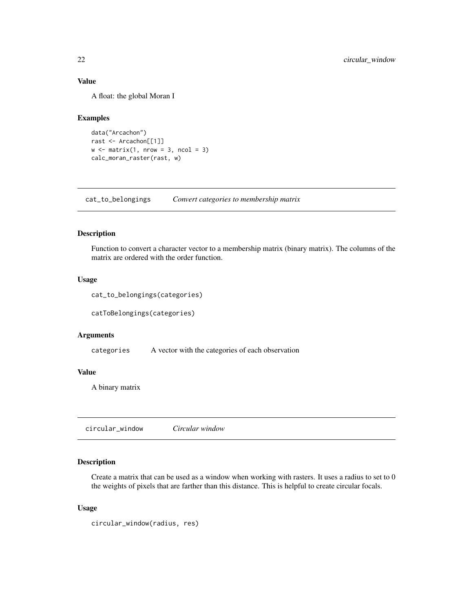### Value

A float: the global Moran I

#### Examples

```
data("Arcachon")
rast <- Arcachon[[1]]
w \le matrix(1, nrow = 3, ncol = 3)
calc_moran_raster(rast, w)
```
cat\_to\_belongings *Convert categories to membership matrix*

### Description

Function to convert a character vector to a membership matrix (binary matrix). The columns of the matrix are ordered with the order function.

### Usage

```
cat_to_belongings(categories)
```
catToBelongings(categories)

### Arguments

categories A vector with the categories of each observation

### Value

A binary matrix

circular\_window *Circular window*

### Description

Create a matrix that can be used as a window when working with rasters. It uses a radius to set to 0 the weights of pixels that are farther than this distance. This is helpful to create circular focals.

#### Usage

```
circular_window(radius, res)
```
<span id="page-21-0"></span>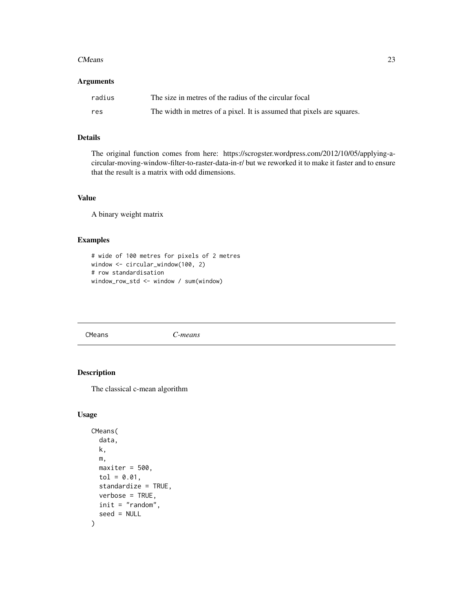#### <span id="page-22-0"></span>**CMeans** 23

#### Arguments

| radius | The size in metres of the radius of the circular focal                 |
|--------|------------------------------------------------------------------------|
| res    | The width in metres of a pixel. It is assumed that pixels are squares. |

### Details

The original function comes from here: https://scrogster.wordpress.com/2012/10/05/applying-acircular-moving-window-filter-to-raster-data-in-r/ but we reworked it to make it faster and to ensure that the result is a matrix with odd dimensions.

#### Value

A binary weight matrix

### Examples

```
# wide of 100 metres for pixels of 2 metres
window <- circular_window(100, 2)
# row standardisation
window_row_std <- window / sum(window)
```
CMeans *C-means*

### Description

The classical c-mean algorithm

### Usage

```
CMeans(
  data,
  k,
  m,
 maxiter = 500,
  tol = 0.01,
  standardize = TRUE,
  verbose = TRUE,
  init = "random",
  seed = NULL
)
```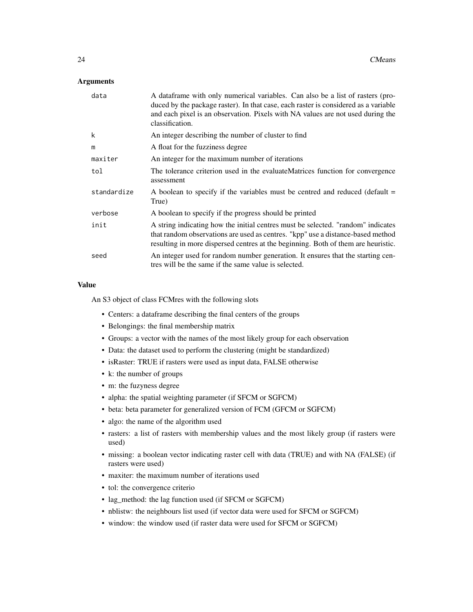### **Arguments**

| data        | A data frame with only numerical variables. Can also be a list of rasters (pro-<br>duced by the package raster). In that case, each raster is considered as a variable<br>and each pixel is an observation. Pixels with NA values are not used during the<br>classification. |
|-------------|------------------------------------------------------------------------------------------------------------------------------------------------------------------------------------------------------------------------------------------------------------------------------|
| k           | An integer describing the number of cluster to find                                                                                                                                                                                                                          |
| m           | A float for the fuzziness degree                                                                                                                                                                                                                                             |
| maxiter     | An integer for the maximum number of iterations                                                                                                                                                                                                                              |
| tol         | The tolerance criterion used in the evaluateMatrices function for convergence<br>assessment                                                                                                                                                                                  |
| standardize | A boolean to specify if the variables must be centred and reduced (default $=$<br>True)                                                                                                                                                                                      |
| verbose     | A boolean to specify if the progress should be printed                                                                                                                                                                                                                       |
| init        | A string indicating how the initial centres must be selected. "random" indicates<br>that random observations are used as centres. "kpp" use a distance-based method<br>resulting in more dispersed centres at the beginning. Both of them are heuristic.                     |
| seed        | An integer used for random number generation. It ensures that the starting cen-<br>tres will be the same if the same value is selected.                                                                                                                                      |

### Value

An S3 object of class FCMres with the following slots

- Centers: a dataframe describing the final centers of the groups
- Belongings: the final membership matrix
- Groups: a vector with the names of the most likely group for each observation
- Data: the dataset used to perform the clustering (might be standardized)
- isRaster: TRUE if rasters were used as input data, FALSE otherwise
- k: the number of groups
- m: the fuzyness degree
- alpha: the spatial weighting parameter (if SFCM or SGFCM)
- beta: beta parameter for generalized version of FCM (GFCM or SGFCM)
- algo: the name of the algorithm used
- rasters: a list of rasters with membership values and the most likely group (if rasters were used)
- missing: a boolean vector indicating raster cell with data (TRUE) and with NA (FALSE) (if rasters were used)
- maxiter: the maximum number of iterations used
- tol: the convergence criterio
- lag\_method: the lag function used (if SFCM or SGFCM)
- nblistw: the neighbours list used (if vector data were used for SFCM or SGFCM)
- window: the window used (if raster data were used for SFCM or SGFCM)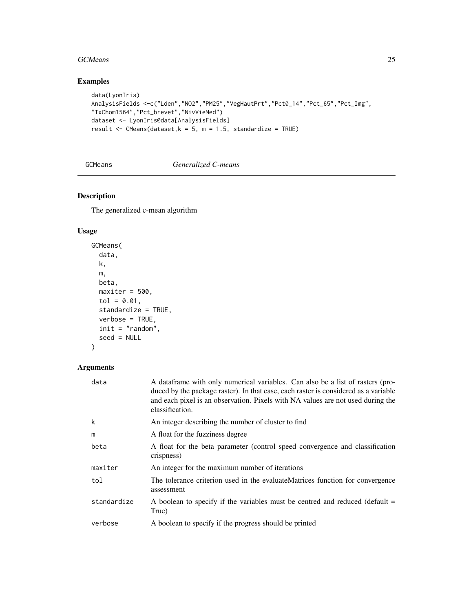#### <span id="page-24-0"></span>GCMeans 25

### Examples

```
data(LyonIris)
AnalysisFields <-c("Lden","NO2","PM25","VegHautPrt","Pct0_14","Pct_65","Pct_Img",
"TxChom1564","Pct_brevet","NivVieMed")
dataset <- LyonIris@data[AnalysisFields]
result \leq CMeans(dataset, k = 5, m = 1.5, standardize = TRUE)
```
### GCMeans *Generalized C-means*

### Description

The generalized c-mean algorithm

### Usage

```
GCMeans(
  data,
 k,
 m,
 beta,
 maxiter = 500,
 tol = 0.01,standardize = TRUE,
 verbose = TRUE,
 init = "random",
  seed = NULL
)
```
### Arguments

| data        | A data frame with only numerical variables. Can also be a list of rasters (pro-<br>duced by the package raster). In that case, each raster is considered as a variable<br>and each pixel is an observation. Pixels with NA values are not used during the<br>classification. |
|-------------|------------------------------------------------------------------------------------------------------------------------------------------------------------------------------------------------------------------------------------------------------------------------------|
| k           | An integer describing the number of cluster to find                                                                                                                                                                                                                          |
| m           | A float for the fuzziness degree                                                                                                                                                                                                                                             |
| beta        | A float for the beta parameter (control speed convergence and classification<br>crispness)                                                                                                                                                                                   |
| maxiter     | An integer for the maximum number of iterations                                                                                                                                                                                                                              |
| tol         | The tolerance criterion used in the evaluateMatrices function for convergence<br>assessment                                                                                                                                                                                  |
| standardize | A boolean to specify if the variables must be centred and reduced (default $=$<br>True)                                                                                                                                                                                      |
| verbose     | A boolean to specify if the progress should be printed                                                                                                                                                                                                                       |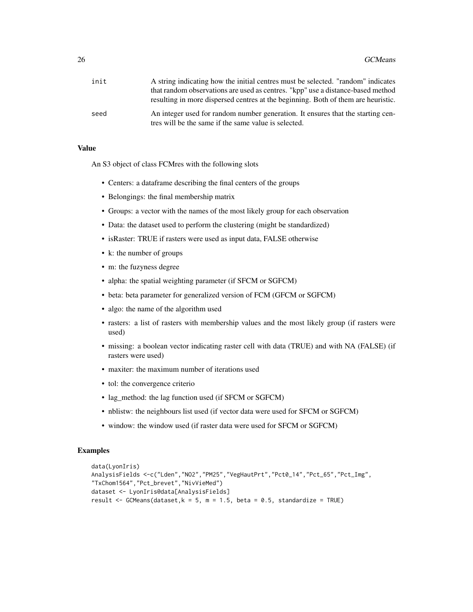| init | A string indicating how the initial centres must be selected. "random" indicates                                                        |
|------|-----------------------------------------------------------------------------------------------------------------------------------------|
|      | that random observations are used as centres. "kpp" use a distance-based method                                                         |
|      | resulting in more dispersed centres at the beginning. Both of them are heuristic.                                                       |
| seed | An integer used for random number generation. It ensures that the starting cen-<br>tres will be the same if the same value is selected. |

### Value

An S3 object of class FCMres with the following slots

- Centers: a dataframe describing the final centers of the groups
- Belongings: the final membership matrix
- Groups: a vector with the names of the most likely group for each observation
- Data: the dataset used to perform the clustering (might be standardized)
- isRaster: TRUE if rasters were used as input data, FALSE otherwise
- k: the number of groups
- m: the fuzyness degree
- alpha: the spatial weighting parameter (if SFCM or SGFCM)
- beta: beta parameter for generalized version of FCM (GFCM or SGFCM)
- algo: the name of the algorithm used
- rasters: a list of rasters with membership values and the most likely group (if rasters were used)
- missing: a boolean vector indicating raster cell with data (TRUE) and with NA (FALSE) (if rasters were used)
- maxiter: the maximum number of iterations used
- tol: the convergence criterio
- lag\_method: the lag function used (if SFCM or SGFCM)
- nblistw: the neighbours list used (if vector data were used for SFCM or SGFCM)
- window: the window used (if raster data were used for SFCM or SGFCM)

```
data(LyonIris)
AnalysisFields <-c("Lden","NO2","PM25","VegHautPrt","Pct0_14","Pct_65","Pct_Img",
"TxChom1564","Pct_brevet","NivVieMed")
dataset <- LyonIris@data[AnalysisFields]
result <- GCMeans(dataset,k = 5, m = 1.5, beta = 0.5, standardize = TRUE)
```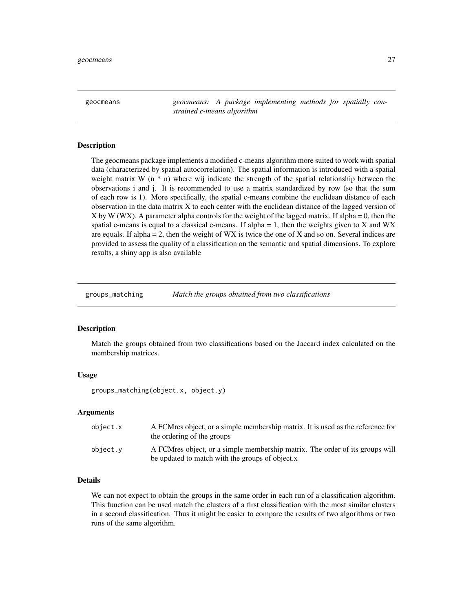<span id="page-26-0"></span>geocmeans *geocmeans: A package implementing methods for spatially constrained c-means algorithm*

#### **Description**

The geocmeans package implements a modified c-means algorithm more suited to work with spatial data (characterized by spatial autocorrelation). The spatial information is introduced with a spatial weight matrix W  $(n * n)$  where wij indicate the strength of the spatial relationship between the observations i and j. It is recommended to use a matrix standardized by row (so that the sum of each row is 1). More specifically, the spatial c-means combine the euclidean distance of each observation in the data matrix X to each center with the euclidean distance of the lagged version of X by W (WX). A parameter alpha controls for the weight of the lagged matrix. If alpha = 0, then the spatial c-means is equal to a classical c-means. If alpha  $= 1$ , then the weights given to X and WX are equals. If alpha  $= 2$ , then the weight of WX is twice the one of X and so on. Several indices are provided to assess the quality of a classification on the semantic and spatial dimensions. To explore results, a shiny app is also available

groups\_matching *Match the groups obtained from two classifications*

#### Description

Match the groups obtained from two classifications based on the Jaccard index calculated on the membership matrices.

#### Usage

groups\_matching(object.x, object.y)

#### Arguments

| object.x | A FCM resolvect, or a simple membership matrix. It is used as the reference for<br>the ordering of the groups                    |
|----------|----------------------------------------------------------------------------------------------------------------------------------|
| object.y | A FCM res object, or a simple membership matrix. The order of its groups will<br>be updated to match with the groups of object.x |

### Details

We can not expect to obtain the groups in the same order in each run of a classification algorithm. This function can be used match the clusters of a first classification with the most similar clusters in a second classification. Thus it might be easier to compare the results of two algorithms or two runs of the same algorithm.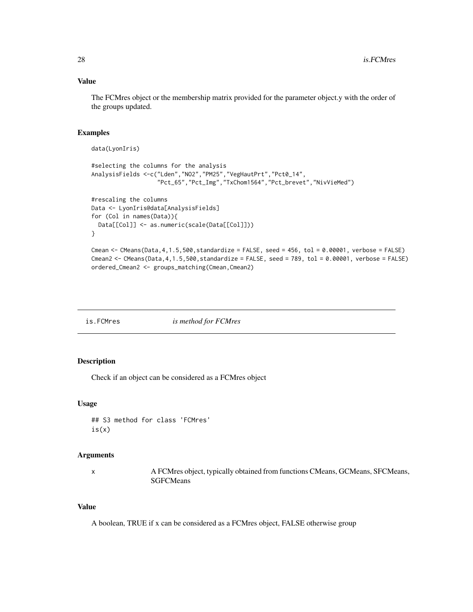### Value

The FCMres object or the membership matrix provided for the parameter object.y with the order of the groups updated.

#### Examples

```
data(LyonIris)
#selecting the columns for the analysis
AnalysisFields <-c("Lden","NO2","PM25","VegHautPrt","Pct0_14",
                   "Pct_65","Pct_Img","TxChom1564","Pct_brevet","NivVieMed")
#rescaling the columns
Data <- LyonIris@data[AnalysisFields]
for (Col in names(Data)){
 Data[[Col]] <- as.numeric(scale(Data[[Col]]))
}
Cmean \leq CMeans(Data, 4, 1.5,500, standardize = FALSE, seed = 456, tol = 0.00001, verbose = FALSE)
Cmean2 <- CMeans(Data, 4, 1.5,500, standardize = FALSE, seed = 789, tol = 0.00001, verbose = FALSE)
```

| is.FCMres | is method for FCMres |
|-----------|----------------------|
|-----------|----------------------|

ordered\_Cmean2 <- groups\_matching(Cmean,Cmean2)

### Description

Check if an object can be considered as a FCMres object

#### Usage

## S3 method for class 'FCMres' is(x)

### Arguments

x A FCMres object, typically obtained from functions CMeans, GCMeans, SFCMeans, SGFCMeans

### Value

A boolean, TRUE if x can be considered as a FCMres object, FALSE otherwise group

<span id="page-27-0"></span>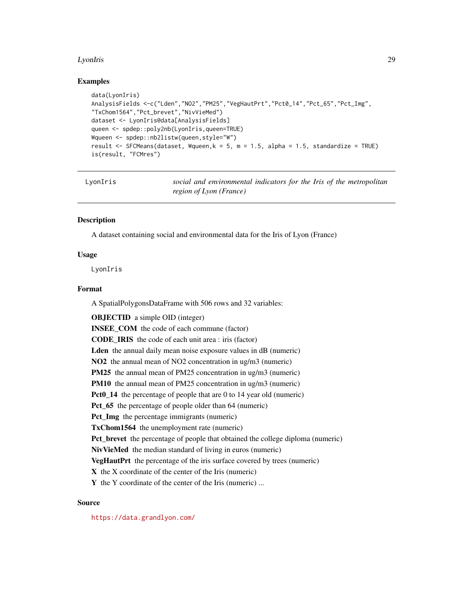#### <span id="page-28-0"></span>LyonIris 29

#### Examples

```
data(LyonIris)
AnalysisFields <-c("Lden","NO2","PM25","VegHautPrt","Pct0_14","Pct_65","Pct_Img",
"TxChom1564","Pct_brevet","NivVieMed")
dataset <- LyonIris@data[AnalysisFields]
queen <- spdep::poly2nb(LyonIris,queen=TRUE)
Wqueen <- spdep::nb2listw(queen,style="W")
result <- SFCMeans(dataset, Wqueen,k = 5, m = 1.5, alpha = 1.5, standardize = TRUE)
is(result, "FCMres")
```

| voniri |  |  |
|--------|--|--|
|        |  |  |

social and environmental indicators for the Iris of the metropolitan *region of Lyon (France)*

#### **Description**

A dataset containing social and environmental data for the Iris of Lyon (France)

#### Usage

LyonIris

#### Format

A SpatialPolygonsDataFrame with 506 rows and 32 variables:

OBJECTID a simple OID (integer) **INSEE\_COM** the code of each commune (factor) CODE\_IRIS the code of each unit area : iris (factor) Lden the annual daily mean noise exposure values in dB (numeric) NO2 the annual mean of NO2 concentration in ug/m3 (numeric) PM25 the annual mean of PM25 concentration in ug/m3 (numeric) PM10 the annual mean of PM25 concentration in ug/m3 (numeric) Pct0\_14 the percentage of people that are 0 to 14 year old (numeric) Pct 65 the percentage of people older than 64 (numeric) Pct\_Img the percentage immigrants (numeric) TxChom1564 the unemployment rate (numeric) Pct\_brevet the percentage of people that obtained the college diploma (numeric) NivVieMed the median standard of living in euros (numeric) VegHautPrt the percentage of the iris surface covered by trees (numeric) X the X coordinate of the center of the Iris (numeric) Y the Y coordinate of the center of the Iris (numeric) ...

### Source

<https://data.grandlyon.com/>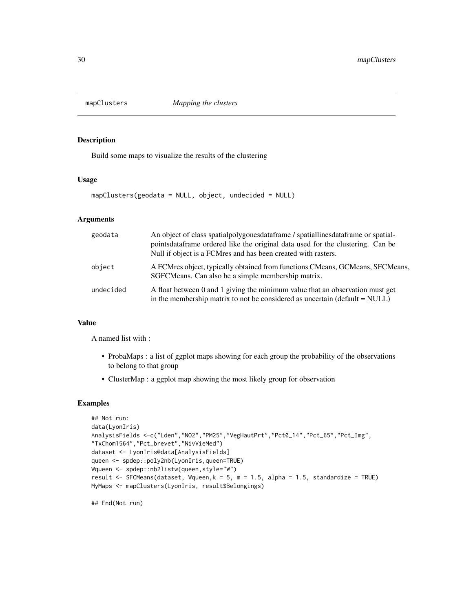<span id="page-29-0"></span>

Build some maps to visualize the results of the clustering

#### Usage

mapClusters(geodata = NULL, object, undecided = NULL)

### Arguments

| geodata   | An object of class spatial polygones data frame / spatial lines data frame or spatial-<br>pointsdataframe ordered like the original data used for the clustering. Can be<br>Null if object is a FCM res and has been created with rasters. |
|-----------|--------------------------------------------------------------------------------------------------------------------------------------------------------------------------------------------------------------------------------------------|
| object    | A FCMres object, typically obtained from functions CMeans, GCMeans, SFCMeans,<br>SGFCMeans. Can also be a simple membership matrix.                                                                                                        |
| undecided | A float between 0 and 1 giving the minimum value that an observation must get<br>in the membership matrix to not be considered as uncertain ( $default = NULL$ )                                                                           |

### Value

A named list with :

- ProbaMaps : a list of ggplot maps showing for each group the probability of the observations to belong to that group
- ClusterMap : a ggplot map showing the most likely group for observation

#### Examples

```
## Not run:
data(LyonIris)
AnalysisFields <-c("Lden","NO2","PM25","VegHautPrt","Pct0_14","Pct_65","Pct_Img",
"TxChom1564","Pct_brevet","NivVieMed")
dataset <- LyonIris@data[AnalysisFields]
queen <- spdep::poly2nb(LyonIris,queen=TRUE)
Wqueen <- spdep::nb2listw(queen,style="W")
result <- SFCMeans(dataset, Wqueen,k = 5, m = 1.5, alpha = 1.5, standardize = TRUE)
MyMaps <- mapClusters(LyonIris, result$Belongings)
```
## End(Not run)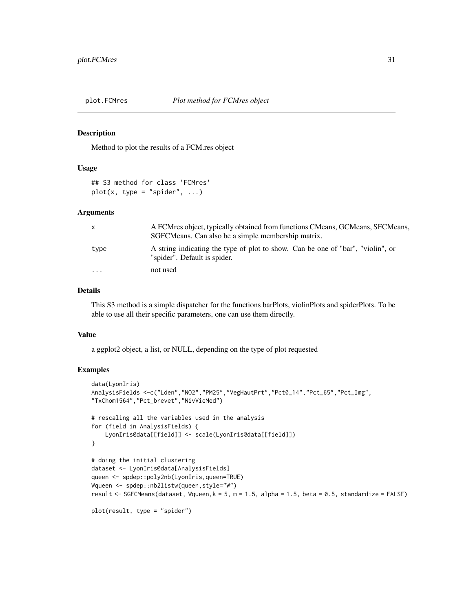<span id="page-30-0"></span>

Method to plot the results of a FCM.res object

#### Usage

## S3 method for class 'FCMres'  $plot(x, type = "spider", ...)$ 

#### Arguments

| $\mathsf{x}$ | A FCMres object, typically obtained from functions CMeans, GCMeans, SFCMeans,<br>SGFCMeans. Can also be a simple membership matrix. |
|--------------|-------------------------------------------------------------------------------------------------------------------------------------|
| type         | A string indicating the type of plot to show. Can be one of "bar", "violin", or<br>"spider". Default is spider.                     |
| .            | not used                                                                                                                            |

#### Details

This S3 method is a simple dispatcher for the functions barPlots, violinPlots and spiderPlots. To be able to use all their specific parameters, one can use them directly.

#### Value

a ggplot2 object, a list, or NULL, depending on the type of plot requested

```
data(LyonIris)
AnalysisFields <-c("Lden","NO2","PM25","VegHautPrt","Pct0_14","Pct_65","Pct_Img",
"TxChom1564","Pct_brevet","NivVieMed")
# rescaling all the variables used in the analysis
for (field in AnalysisFields) {
   LyonIris@data[[field]] <- scale(LyonIris@data[[field]])
}
# doing the initial clustering
dataset <- LyonIris@data[AnalysisFields]
queen <- spdep::poly2nb(LyonIris,queen=TRUE)
Wqueen <- spdep::nb2listw(queen,style="W")
result <- SGFCMeans(dataset, Wqueen,k = 5, m = 1.5, alpha = 1.5, beta = 0.5, standardize = FALSE)
plot(result, type = "spider")
```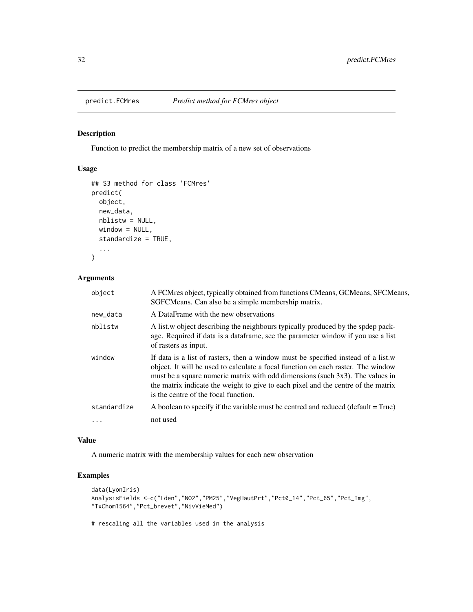<span id="page-31-0"></span>

Function to predict the membership matrix of a new set of observations

#### Usage

```
## S3 method for class 'FCMres'
predict(
 object,
 new_data,
 nblistw = NULL,
 window = NULL,
  standardize = TRUE,
  ...
)
```
### Arguments

| object      | A FCMres object, typically obtained from functions CMeans, GCMeans, SFCMeans,<br>SGFCMeans. Can also be a simple membership matrix.                                                                                                                                                                                                                                                 |
|-------------|-------------------------------------------------------------------------------------------------------------------------------------------------------------------------------------------------------------------------------------------------------------------------------------------------------------------------------------------------------------------------------------|
| new_data    | A DataFrame with the new observations                                                                                                                                                                                                                                                                                                                                               |
| nblistw     | A list, w object describing the neighbours typically produced by the spdep pack-<br>age. Required if data is a dataframe, see the parameter window if you use a list<br>of rasters as input.                                                                                                                                                                                        |
| window      | If data is a list of rasters, then a window must be specified instead of a list.w<br>object. It will be used to calculate a focal function on each raster. The window<br>must be a square numeric matrix with odd dimensions (such 3x3). The values in<br>the matrix indicate the weight to give to each pixel and the centre of the matrix<br>is the centre of the focal function. |
| standardize | A boolean to specify if the variable must be centred and reduced (default = True)                                                                                                                                                                                                                                                                                                   |
| $\cdots$    | not used                                                                                                                                                                                                                                                                                                                                                                            |

#### Value

A numeric matrix with the membership values for each new observation

### Examples

```
data(LyonIris)
AnalysisFields <-c("Lden","NO2","PM25","VegHautPrt","Pct0_14","Pct_65","Pct_Img",
"TxChom1564","Pct_brevet","NivVieMed")
```
# rescaling all the variables used in the analysis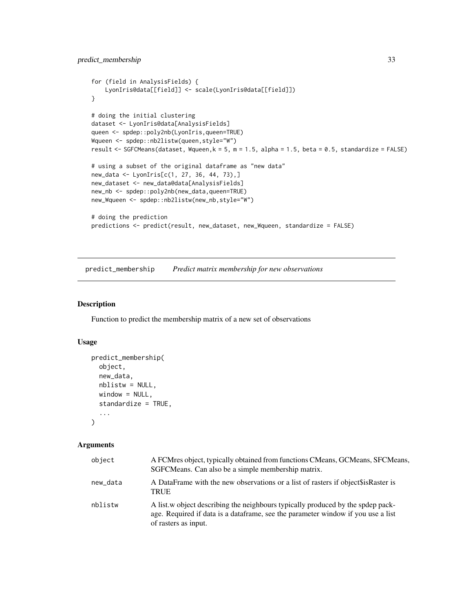```
for (field in AnalysisFields) {
   LyonIris@data[[field]] <- scale(LyonIris@data[[field]])
}
# doing the initial clustering
dataset <- LyonIris@data[AnalysisFields]
queen <- spdep::poly2nb(LyonIris,queen=TRUE)
Wqueen <- spdep::nb2listw(queen,style="W")
result <- SGFCMeans(dataset, Wqueen,k = 5, m = 1.5, alpha = 1.5, beta = 0.5, standardize = FALSE)
# using a subset of the original dataframe as "new data"
new_data <- LyonIris[c(1, 27, 36, 44, 73),]
new_dataset <- new_data@data[AnalysisFields]
new_nb <- spdep::poly2nb(new_data,queen=TRUE)
new_Wqueen <- spdep::nb2listw(new_nb,style="W")
# doing the prediction
predictions <- predict(result, new_dataset, new_Wqueen, standardize = FALSE)
```
predict\_membership *Predict matrix membership for new observations*

#### Description

Function to predict the membership matrix of a new set of observations

#### Usage

```
predict_membership(
  object,
  new_data,
  nblistw = NULL,window = NULL,
  standardize = TRUE,
  ...
\mathcal{L}
```
#### Arguments

| object   | A FCM resolvect, typically obtained from functions CM eans, GCM eans, SFCM eans,<br>SGFCMeans. Can also be a simple membership matrix.                                                       |
|----------|----------------------------------------------------------------------------------------------------------------------------------------------------------------------------------------------|
| new data | A DataFrame with the new observations or a list of rasters if object sis Raster is<br><b>TRUE</b>                                                                                            |
| nblistw  | A list w object describing the neighbours typically produced by the spdep pack-<br>age. Required if data is a data frame, see the parameter window if you use a list<br>of rasters as input. |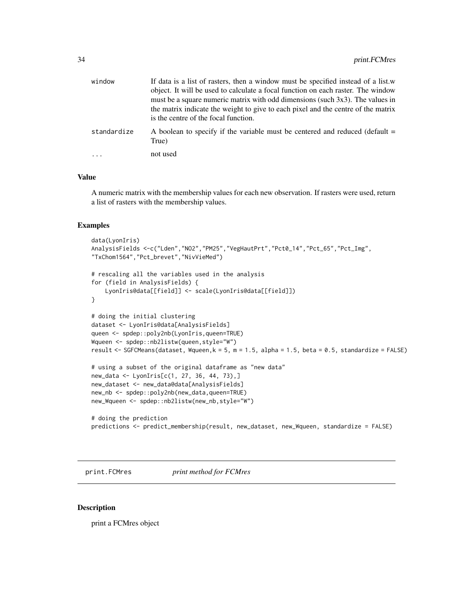<span id="page-33-0"></span>

| window      | If data is a list of rasters, then a window must be specified instead of a list.w<br>object. It will be used to calculate a focal function on each raster. The window |
|-------------|-----------------------------------------------------------------------------------------------------------------------------------------------------------------------|
|             | must be a square numeric matrix with odd dimensions (such 3x3). The values in<br>the matrix indicate the weight to give to each pixel and the centre of the matrix    |
|             | is the centre of the focal function.                                                                                                                                  |
| standardize | A boolean to specify if the variable must be centered and reduced (default =<br>True)                                                                                 |
| $\ddots$    | not used                                                                                                                                                              |

#### Value

A numeric matrix with the membership values for each new observation. If rasters were used, return a list of rasters with the membership values.

### Examples

```
data(LyonIris)
AnalysisFields <-c("Lden","NO2","PM25","VegHautPrt","Pct0_14","Pct_65","Pct_Img",
"TxChom1564","Pct_brevet","NivVieMed")
# rescaling all the variables used in the analysis
for (field in AnalysisFields) {
    LyonIris@data[[field]] <- scale(LyonIris@data[[field]])
}
# doing the initial clustering
dataset <- LyonIris@data[AnalysisFields]
queen <- spdep::poly2nb(LyonIris,queen=TRUE)
Wqueen <- spdep::nb2listw(queen,style="W")
result <- SGFCMeans(dataset, Wqueen,k = 5, m = 1.5, alpha = 1.5, beta = 0.5, standardize = FALSE)
# using a subset of the original dataframe as "new data"
new_data <- LyonIris[c(1, 27, 36, 44, 73),]
new_dataset <- new_data@data[AnalysisFields]
new_nb <- spdep::poly2nb(new_data,queen=TRUE)
new_Wqueen <- spdep::nb2listw(new_nb,style="W")
# doing the prediction
predictions <- predict_membership(result, new_dataset, new_Wqueen, standardize = FALSE)
```
print.FCMres *print method for FCMres*

#### Description

print a FCMres object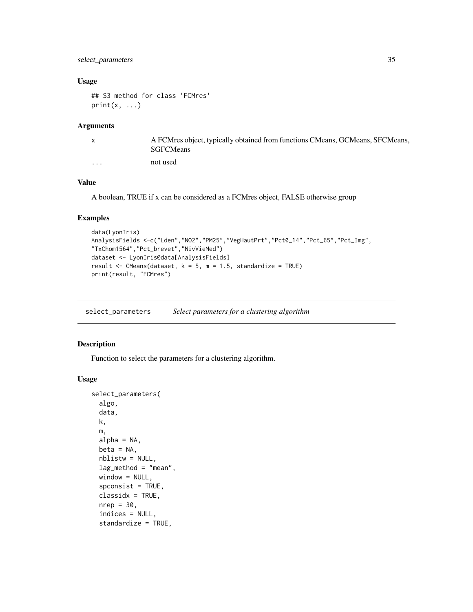### <span id="page-34-0"></span>select\_parameters 35

### Usage

```
## S3 method for class 'FCMres'
print(x, \ldots)
```
#### Arguments

|          | A FCMres object, typically obtained from functions CMeans, GCMeans, SFCMeans,<br><b>SGFCMeans</b> |
|----------|---------------------------------------------------------------------------------------------------|
| $\cdots$ | not used                                                                                          |

### Value

A boolean, TRUE if x can be considered as a FCMres object, FALSE otherwise group

### Examples

```
data(LyonIris)
AnalysisFields <-c("Lden","NO2","PM25","VegHautPrt","Pct0_14","Pct_65","Pct_Img",
"TxChom1564","Pct_brevet","NivVieMed")
dataset <- LyonIris@data[AnalysisFields]
result \leq CMeans(dataset, k = 5, m = 1.5, standardize = TRUE)
print(result, "FCMres")
```
select\_parameters *Select parameters for a clustering algorithm*

### Description

Function to select the parameters for a clustering algorithm.

### Usage

```
select_parameters(
  algo,
 data,
 k,
 m,
  alpha = NA,
 beta = NA,
 nblistw = NULL,
  lag_method = "mean",
 window = NULL,spconsist = TRUE,
  classidx = TRUE,
  nrep = 30,indices = NULL,
  standardize = TRUE,
```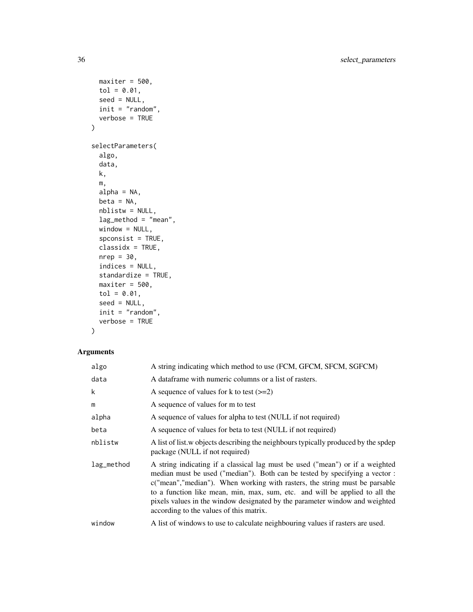```
maxiter = 500,
 tol = 0.01,seed = NULL,init = "random",
 verbose = TRUE
\mathcal{L}selectParameters(
  algo,
 data,
 k,
 m,
 alpha = NA,
 beta = NA,
 nblistw = NULL,
  lag_method = "mean",
 window = NULL,
  spconsist = TRUE,
 classidx = TRUE,
 nrep = 30,
  indices = NULL,
  standardize = TRUE,
 maxiter = 500,
  tol = 0.01,seed = NULL,
 init = "random",
 verbose = TRUE
```
### )

### Arguments

| algo       | A string indicating which method to use (FCM, GFCM, SFCM, SGFCM)                                                                                                                                                                                                                                                                                                                                                                                     |
|------------|------------------------------------------------------------------------------------------------------------------------------------------------------------------------------------------------------------------------------------------------------------------------------------------------------------------------------------------------------------------------------------------------------------------------------------------------------|
| data       | A dataframe with numeric columns or a list of rasters.                                                                                                                                                                                                                                                                                                                                                                                               |
| k          | A sequence of values for k to test $(>=2)$                                                                                                                                                                                                                                                                                                                                                                                                           |
| m          | A sequence of values for m to test                                                                                                                                                                                                                                                                                                                                                                                                                   |
| alpha      | A sequence of values for alpha to test (NULL if not required)                                                                                                                                                                                                                                                                                                                                                                                        |
| beta       | A sequence of values for beta to test (NULL if not required)                                                                                                                                                                                                                                                                                                                                                                                         |
| nblistw    | A list of list w objects describing the neighbours typically produced by the spdep<br>package (NULL if not required)                                                                                                                                                                                                                                                                                                                                 |
| lag_method | A string indicating if a classical lag must be used ("mean") or if a weighted<br>median must be used ("median"). Both can be tested by specifying a vector :<br>c("mean", "median"). When working with rasters, the string must be parsable<br>to a function like mean, min, max, sum, etc. and will be applied to all the<br>pixels values in the window designated by the parameter window and weighted<br>according to the values of this matrix. |
| window     | A list of windows to use to calculate neighbouring values if rasters are used.                                                                                                                                                                                                                                                                                                                                                                       |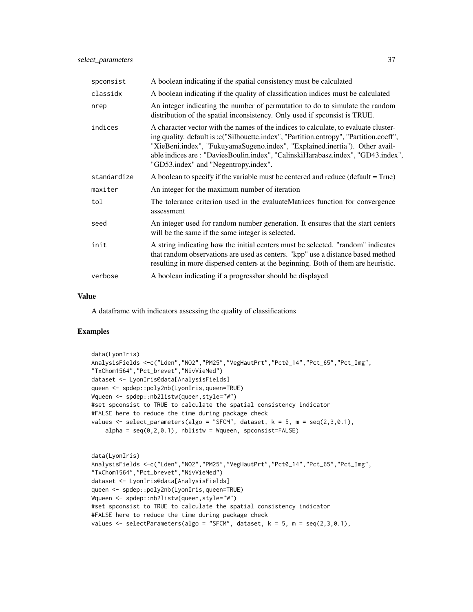| spconsist   | A boolean indicating if the spatial consistency must be calculated                                                                                                                                                                                                                                                                                                                      |
|-------------|-----------------------------------------------------------------------------------------------------------------------------------------------------------------------------------------------------------------------------------------------------------------------------------------------------------------------------------------------------------------------------------------|
| classidx    | A boolean indicating if the quality of classification indices must be calculated                                                                                                                                                                                                                                                                                                        |
| nrep        | An integer indicating the number of permutation to do to simulate the random<br>distribution of the spatial inconsistency. Only used if spconsist is TRUE.                                                                                                                                                                                                                              |
| indices     | A character vector with the names of the indices to calculate, to evaluate cluster-<br>ing quality. default is :c("Silhouette.index", "Partition.entropy", "Partition.coeff",<br>"XieBeni.index", "FukuyamaSugeno.index", "Explained.inertia"). Other avail-<br>able indices are: "DaviesBoulin.index", "CalinskiHarabasz.index", "GD43.index",<br>"GD53.index" and "Negentropy.index". |
| standardize | A boolean to specify if the variable must be centered and reduce (default = True)                                                                                                                                                                                                                                                                                                       |
| maxiter     | An integer for the maximum number of iteration                                                                                                                                                                                                                                                                                                                                          |
| tol         | The tolerance criterion used in the evaluateMatrices function for convergence<br>assessment                                                                                                                                                                                                                                                                                             |
| seed        | An integer used for random number generation. It ensures that the start centers<br>will be the same if the same integer is selected.                                                                                                                                                                                                                                                    |
| init        | A string indicating how the initial centers must be selected. "random" indicates<br>that random observations are used as centers. "kpp" use a distance based method<br>resulting in more dispersed centers at the beginning. Both of them are heuristic.                                                                                                                                |
| verbose     | A boolean indicating if a progressbar should be displayed                                                                                                                                                                                                                                                                                                                               |

### Value

A dataframe with indicators assessing the quality of classifications

```
data(LyonIris)
AnalysisFields <-c("Lden","NO2","PM25","VegHautPrt","Pct0_14","Pct_65","Pct_Img",
"TxChom1564","Pct_brevet","NivVieMed")
dataset <- LyonIris@data[AnalysisFields]
queen <- spdep::poly2nb(LyonIris,queen=TRUE)
Wqueen <- spdep::nb2listw(queen,style="W")
#set spconsist to TRUE to calculate the spatial consistency indicator
#FALSE here to reduce the time during package check
values \leq select_parameters(algo = "SFCM", dataset, k = 5, m = \text{seq}(2,3,0.1),
    alpha = seq(0, 2, 0.1), nblistw = Wqueen, spconsist = FALSE)
data(LyonIris)
```

```
AnalysisFields <-c("Lden","NO2","PM25","VegHautPrt","Pct0_14","Pct_65","Pct_Img",
"TxChom1564","Pct_brevet","NivVieMed")
dataset <- LyonIris@data[AnalysisFields]
queen <- spdep::poly2nb(LyonIris,queen=TRUE)
Wqueen <- spdep::nb2listw(queen,style="W")
#set spconsist to TRUE to calculate the spatial consistency indicator
#FALSE here to reduce the time during package check
values \leq selectParameters(algo = "SFCM", dataset, k = 5, m = seq(2,3,0.1),
```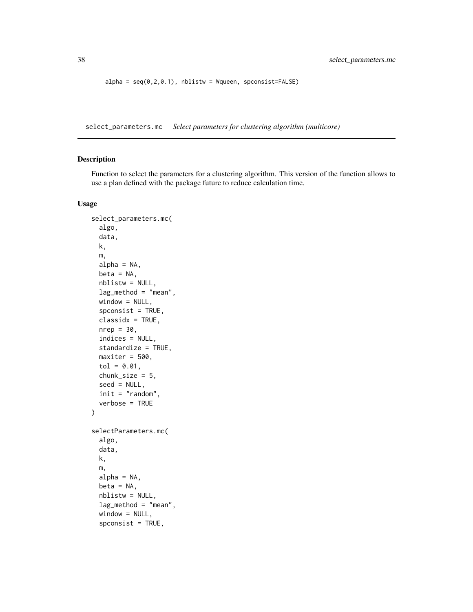```
alpha = seq(0, 2, 0.1), nblistw = Wqueen, spconsist=False()
```
select\_parameters.mc *Select parameters for clustering algorithm (multicore)*

#### Description

Function to select the parameters for a clustering algorithm. This version of the function allows to use a plan defined with the package future to reduce calculation time.

### Usage

```
select_parameters.mc(
  algo,
 data,
 k,
 m,
 alpha = NA,
 beta = NA,
 nblistw = NULL,
  lag_method = "mean",
 window = NULL,
  spconsist = TRUE,
 classidx = TRUE,nrep = 30,
  indices = NULL,
  standardize = TRUE,
 maxiter = 500,
  tol = 0.01,chunk_size = 5,
  seed = NULL,
 init = "random",verbose = TRUE
\mathcal{E}selectParameters.mc(
  algo,
 data,
 k,
 m,
 alpha = NA,
 beta = NA,
  nblistw = NULL,
  lag_method = "mean",
  window = NULL,spconsist = TRUE,
```
<span id="page-37-0"></span>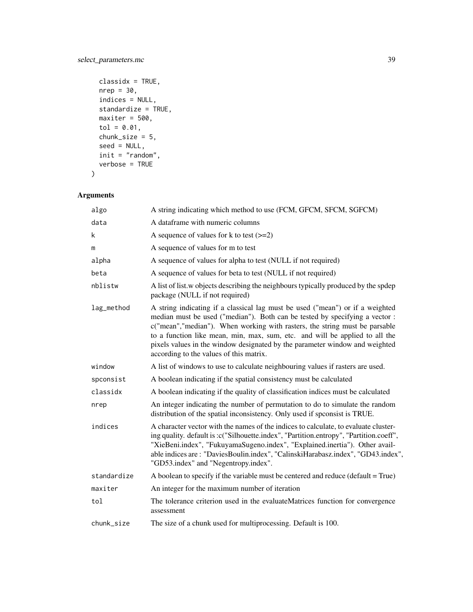```
classidx = TRUE,
 nrep = 30,indices = NULL,
 standardize = TRUE,
 maxiter = 500,tol = 0.01,chunk_size = 5,
 seed = NULL,
 init = "random",verbose = TRUE
\mathcal{L}
```
### Arguments

| algo        | A string indicating which method to use (FCM, GFCM, SFCM, SGFCM)                                                                                                                                                                                                                                                                                                                                                                                   |
|-------------|----------------------------------------------------------------------------------------------------------------------------------------------------------------------------------------------------------------------------------------------------------------------------------------------------------------------------------------------------------------------------------------------------------------------------------------------------|
| data        | A dataframe with numeric columns                                                                                                                                                                                                                                                                                                                                                                                                                   |
| $\mathsf k$ | A sequence of values for k to test $(>=2)$                                                                                                                                                                                                                                                                                                                                                                                                         |
| m           | A sequence of values for m to test                                                                                                                                                                                                                                                                                                                                                                                                                 |
| alpha       | A sequence of values for alpha to test (NULL if not required)                                                                                                                                                                                                                                                                                                                                                                                      |
| beta        | A sequence of values for beta to test (NULL if not required)                                                                                                                                                                                                                                                                                                                                                                                       |
| nblistw     | A list of list w objects describing the neighbours typically produced by the spdep<br>package (NULL if not required)                                                                                                                                                                                                                                                                                                                               |
| lag_method  | A string indicating if a classical lag must be used ("mean") or if a weighted<br>median must be used ("median"). Both can be tested by specifying a vector:<br>c("mean","median"). When working with rasters, the string must be parsable<br>to a function like mean, min, max, sum, etc. and will be applied to all the<br>pixels values in the window designated by the parameter window and weighted<br>according to the values of this matrix. |
| window      | A list of windows to use to calculate neighbouring values if rasters are used.                                                                                                                                                                                                                                                                                                                                                                     |
| spconsist   | A boolean indicating if the spatial consistency must be calculated                                                                                                                                                                                                                                                                                                                                                                                 |
| classidx    | A boolean indicating if the quality of classification indices must be calculated                                                                                                                                                                                                                                                                                                                                                                   |
| nrep        | An integer indicating the number of permutation to do to simulate the random<br>distribution of the spatial inconsistency. Only used if spconsist is TRUE.                                                                                                                                                                                                                                                                                         |
| indices     | A character vector with the names of the indices to calculate, to evaluate cluster-<br>ing quality. default is :c("Silhouette.index", "Partition.entropy", "Partition.coeff",<br>"XieBeni.index", "FukuyamaSugeno.index", "Explained.inertia"). Other avail-<br>able indices are: "DaviesBoulin.index", "CalinskiHarabasz.index", "GD43.index",<br>"GD53.index" and "Negentropy.index".                                                            |
| standardize | A boolean to specify if the variable must be centered and reduce ( $default = True$ )                                                                                                                                                                                                                                                                                                                                                              |
| maxiter     | An integer for the maximum number of iteration                                                                                                                                                                                                                                                                                                                                                                                                     |
| tol         | The tolerance criterion used in the evaluateMatrices function for convergence<br>assessment                                                                                                                                                                                                                                                                                                                                                        |
| chunk_size  | The size of a chunk used for multiprocessing. Default is 100.                                                                                                                                                                                                                                                                                                                                                                                      |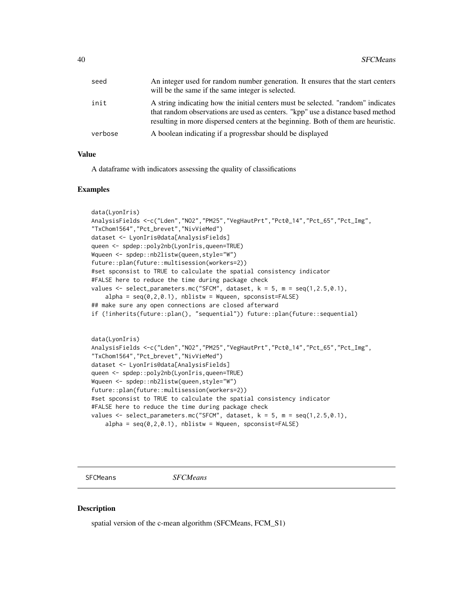<span id="page-39-0"></span>

| seed    | An integer used for random number generation. It ensures that the start centers<br>will be the same if the same integer is selected.                                                                                                                     |
|---------|----------------------------------------------------------------------------------------------------------------------------------------------------------------------------------------------------------------------------------------------------------|
| init    | A string indicating how the initial centers must be selected. "random" indicates<br>that random observations are used as centers. "kpp" use a distance based method<br>resulting in more dispersed centers at the beginning. Both of them are heuristic. |
| verbose | A boolean indicating if a progressbar should be displayed                                                                                                                                                                                                |

#### Value

A dataframe with indicators assessing the quality of classifications

#### Examples

```
data(LyonIris)
AnalysisFields <-c("Lden","NO2","PM25","VegHautPrt","Pct0_14","Pct_65","Pct_Img",
"TxChom1564","Pct_brevet","NivVieMed")
dataset <- LyonIris@data[AnalysisFields]
queen <- spdep::poly2nb(LyonIris,queen=TRUE)
Wqueen <- spdep::nb2listw(queen,style="W")
future::plan(future::multisession(workers=2))
#set spconsist to TRUE to calculate the spatial consistency indicator
#FALSE here to reduce the time during package check
values \leq select_parameters.mc("SFCM", dataset, k = 5, m = seq(1, 2.5, 0.1),
    alpha = seq(0, 2, 0.1), nblistw = Wqueen, spconsist = FALSE)
## make sure any open connections are closed afterward
if (!inherits(future::plan(), "sequential")) future::plan(future::sequential)
data(LyonIris)
AnalysisFields <-c("Lden","NO2","PM25","VegHautPrt","Pct0_14","Pct_65","Pct_Img",
"TxChom1564","Pct_brevet","NivVieMed")
dataset <- LyonIris@data[AnalysisFields]
queen <- spdep::poly2nb(LyonIris,queen=TRUE)
Wqueen <- spdep::nb2listw(queen,style="W")
future::plan(future::multisession(workers=2))
#set spconsist to TRUE to calculate the spatial consistency indicator
#FALSE here to reduce the time during package check
values \leq select_parameters.mc("SFCM", dataset, k = 5, m = \text{seq}(1, 2.5, 0.1),
   alpha = seq(0, 2, 0.1), nblistw = Wqueen, spconsist = FALSE)
```
SFCMeans *SFCMeans*

#### **Description**

spatial version of the c-mean algorithm (SFCMeans, FCM\_S1)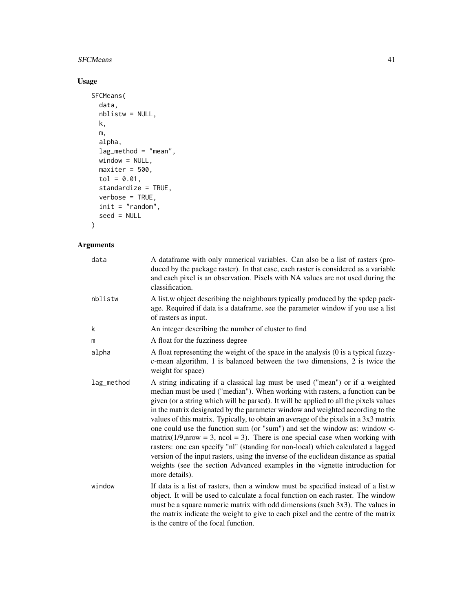### SFCMeans 41

### Usage

```
SFCMeans(
 data,
 nblistw = NULL,
 k,
 m,
 alpha,
 lag_method = "mean",
 window = NULL,
 maxiter = 500,
 tol = 0.01,
 standardize = TRUE,
 verbose = TRUE,
 init = "random",
 seed = NULL
\mathcal{L}
```
### Arguments

| data       | A data frame with only numerical variables. Can also be a list of rasters (pro-<br>duced by the package raster). In that case, each raster is considered as a variable<br>and each pixel is an observation. Pixels with NA values are not used during the<br>classification.                                                                                                                                                                                                                                                                                                                                                                                                                                                                                                                                                                                                    |
|------------|---------------------------------------------------------------------------------------------------------------------------------------------------------------------------------------------------------------------------------------------------------------------------------------------------------------------------------------------------------------------------------------------------------------------------------------------------------------------------------------------------------------------------------------------------------------------------------------------------------------------------------------------------------------------------------------------------------------------------------------------------------------------------------------------------------------------------------------------------------------------------------|
| nblistw    | A list w object describing the neighbours typically produced by the spdep pack-<br>age. Required if data is a dataframe, see the parameter window if you use a list<br>of rasters as input.                                                                                                                                                                                                                                                                                                                                                                                                                                                                                                                                                                                                                                                                                     |
| k          | An integer describing the number of cluster to find                                                                                                                                                                                                                                                                                                                                                                                                                                                                                                                                                                                                                                                                                                                                                                                                                             |
| m          | A float for the fuzziness degree                                                                                                                                                                                                                                                                                                                                                                                                                                                                                                                                                                                                                                                                                                                                                                                                                                                |
| alpha      | A float representing the weight of the space in the analysis (0 is a typical fuzzy-<br>c-mean algorithm, 1 is balanced between the two dimensions, 2 is twice the<br>weight for space)                                                                                                                                                                                                                                                                                                                                                                                                                                                                                                                                                                                                                                                                                          |
| lag_method | A string indicating if a classical lag must be used ("mean") or if a weighted<br>median must be used ("median"). When working with rasters, a function can be<br>given (or a string which will be parsed). It will be applied to all the pixels values<br>in the matrix designated by the parameter window and weighted according to the<br>values of this matrix. Typically, to obtain an average of the pixels in a 3x3 matrix<br>one could use the function sum (or "sum") and set the window as: window <-<br>matrix( $1/9$ , nrow = 3, ncol = 3). There is one special case when working with<br>rasters: one can specify "nl" (standing for non-local) which calculated a lagged<br>version of the input rasters, using the inverse of the euclidean distance as spatial<br>weights (see the section Advanced examples in the vignette introduction for<br>more details). |
| window     | If data is a list of rasters, then a window must be specified instead of a list.w<br>object. It will be used to calculate a focal function on each raster. The window<br>must be a square numeric matrix with odd dimensions (such 3x3). The values in<br>the matrix indicate the weight to give to each pixel and the centre of the matrix<br>is the centre of the focal function.                                                                                                                                                                                                                                                                                                                                                                                                                                                                                             |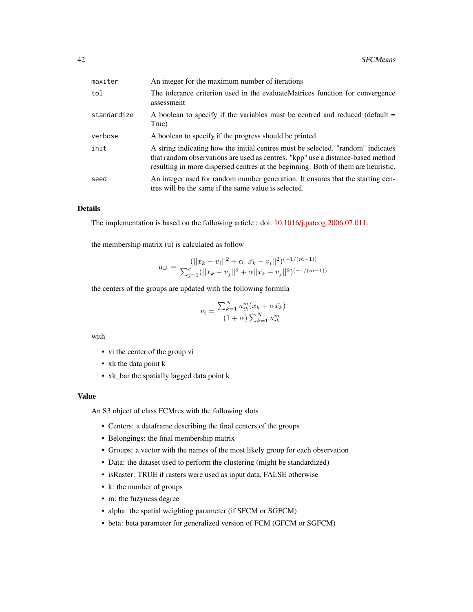| maxiter     | An integer for the maximum number of iterations                                                                                                                                                                                                          |
|-------------|----------------------------------------------------------------------------------------------------------------------------------------------------------------------------------------------------------------------------------------------------------|
| tol         | The tolerance criterion used in the evaluate Matrices function for convergence<br>assessment                                                                                                                                                             |
| standardize | A boolean to specify if the variables must be centred and reduced (default $=$<br>True)                                                                                                                                                                  |
| verbose     | A boolean to specify if the progress should be printed                                                                                                                                                                                                   |
| init        | A string indicating how the initial centres must be selected. "random" indicates<br>that random observations are used as centres. "kpp" use a distance-based method<br>resulting in more dispersed centres at the beginning. Both of them are heuristic. |
| seed        | An integer used for random number generation. It ensures that the starting cen-<br>tres will be the same if the same value is selected.                                                                                                                  |

### Details

The implementation is based on the following article : doi: [10.1016/j.patcog.2006.07.011.](https://doi.org/10.1016/j.patcog.2006.07.011)

the membership matrix (u) is calculated as follow

$$
u_{ik} = \frac{(||x_k - v_i||^2 + \alpha||\bar{x}_k - v_i||^2)^{(-1/(m-1))}}{\sum_{j=1}^{c} (||x_k - v_j||^2 + \alpha||\bar{x}_k - v_j||^2)^{(-1/(m-1))}}
$$

the centers of the groups are updated with the following formula

$$
v_i = \frac{\sum_{k=1}^{N} u_{ik}^m(x_k + \alpha \bar{x}_k)}{(1 + \alpha) \sum_{k=1}^{N} u_{ik}^m}
$$

with

- vi the center of the group vi
- xk the data point k
- xk\_bar the spatially lagged data point k

#### Value

An S3 object of class FCMres with the following slots

- Centers: a dataframe describing the final centers of the groups
- Belongings: the final membership matrix
- Groups: a vector with the names of the most likely group for each observation
- Data: the dataset used to perform the clustering (might be standardized)
- isRaster: TRUE if rasters were used as input data, FALSE otherwise
- k: the number of groups
- m: the fuzyness degree
- alpha: the spatial weighting parameter (if SFCM or SGFCM)
- beta: beta parameter for generalized version of FCM (GFCM or SGFCM)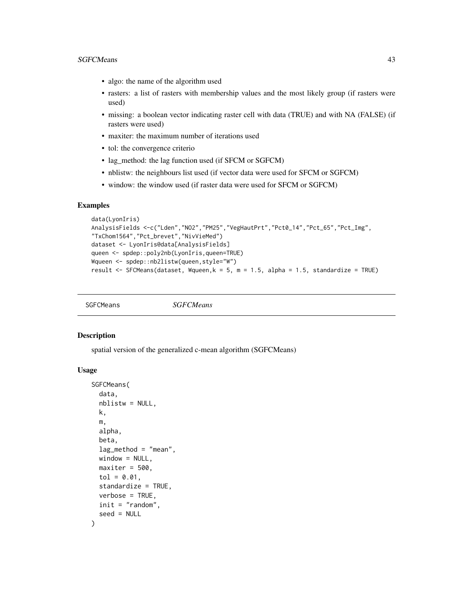#### <span id="page-42-0"></span>SGFCMeans 43

- algo: the name of the algorithm used
- rasters: a list of rasters with membership values and the most likely group (if rasters were used)
- missing: a boolean vector indicating raster cell with data (TRUE) and with NA (FALSE) (if rasters were used)
- maxiter: the maximum number of iterations used
- tol: the convergence criterio
- lag\_method: the lag function used (if SFCM or SGFCM)
- nblistw: the neighbours list used (if vector data were used for SFCM or SGFCM)
- window: the window used (if raster data were used for SFCM or SGFCM)

#### Examples

```
data(LyonIris)
AnalysisFields <-c("Lden","NO2","PM25","VegHautPrt","Pct0_14","Pct_65","Pct_Img",
"TxChom1564","Pct_brevet","NivVieMed")
dataset <- LyonIris@data[AnalysisFields]
queen <- spdep::poly2nb(LyonIris,queen=TRUE)
Wqueen <- spdep::nb2listw(queen,style="W")
result <- SFCMeans(dataset, Wqueen,k = 5, m = 1.5, alpha = 1.5, standardize = TRUE)
```
SGFCMeans *SGFCMeans*

#### Description

spatial version of the generalized c-mean algorithm (SGFCMeans)

#### Usage

```
SGFCMeans(
  data,
  nblistw = NULL,
 k,
 m,
  alpha,
  beta,
  lag_method = "mean",
 window = NULL,maxiter = 500,
  tol = 0.01,
  standardize = TRUE,
  verbose = TRUE,
  init = "random",
  seed = NULL
)
```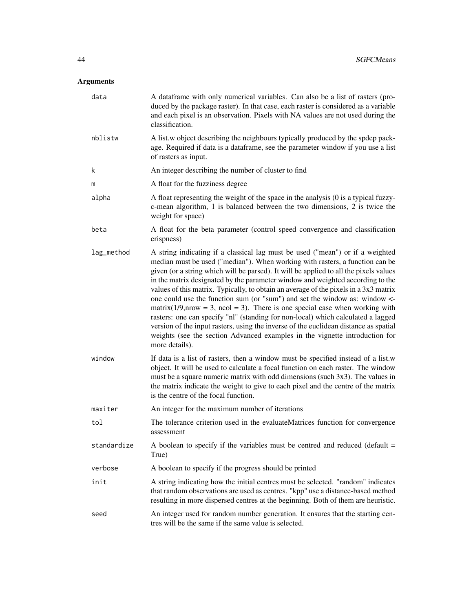### Arguments

| data        | A dataframe with only numerical variables. Can also be a list of rasters (pro-<br>duced by the package raster). In that case, each raster is considered as a variable<br>and each pixel is an observation. Pixels with NA values are not used during the<br>classification.                                                                                                                                                                                                                                                                                                                                                                                                                                                                                                                                                                                                     |
|-------------|---------------------------------------------------------------------------------------------------------------------------------------------------------------------------------------------------------------------------------------------------------------------------------------------------------------------------------------------------------------------------------------------------------------------------------------------------------------------------------------------------------------------------------------------------------------------------------------------------------------------------------------------------------------------------------------------------------------------------------------------------------------------------------------------------------------------------------------------------------------------------------|
| nblistw     | A list w object describing the neighbours typically produced by the spdep pack-<br>age. Required if data is a dataframe, see the parameter window if you use a list<br>of rasters as input.                                                                                                                                                                                                                                                                                                                                                                                                                                                                                                                                                                                                                                                                                     |
| k           | An integer describing the number of cluster to find                                                                                                                                                                                                                                                                                                                                                                                                                                                                                                                                                                                                                                                                                                                                                                                                                             |
| m           | A float for the fuzziness degree                                                                                                                                                                                                                                                                                                                                                                                                                                                                                                                                                                                                                                                                                                                                                                                                                                                |
| alpha       | A float representing the weight of the space in the analysis (0 is a typical fuzzy-<br>c-mean algorithm, 1 is balanced between the two dimensions, 2 is twice the<br>weight for space)                                                                                                                                                                                                                                                                                                                                                                                                                                                                                                                                                                                                                                                                                          |
| beta        | A float for the beta parameter (control speed convergence and classification<br>crispness)                                                                                                                                                                                                                                                                                                                                                                                                                                                                                                                                                                                                                                                                                                                                                                                      |
| lag_method  | A string indicating if a classical lag must be used ("mean") or if a weighted<br>median must be used ("median"). When working with rasters, a function can be<br>given (or a string which will be parsed). It will be applied to all the pixels values<br>in the matrix designated by the parameter window and weighted according to the<br>values of this matrix. Typically, to obtain an average of the pixels in a $3x3$ matrix<br>one could use the function sum (or "sum") and set the window as: window <-<br>$matrix(1/9, mow = 3, ncol = 3)$ . There is one special case when working with<br>rasters: one can specify "nl" (standing for non-local) which calculated a lagged<br>version of the input rasters, using the inverse of the euclidean distance as spatial<br>weights (see the section Advanced examples in the vignette introduction for<br>more details). |
| window      | If data is a list of rasters, then a window must be specified instead of a list.w<br>object. It will be used to calculate a focal function on each raster. The window<br>must be a square numeric matrix with odd dimensions (such $3x3$ ). The values in<br>the matrix indicate the weight to give to each pixel and the centre of the matrix<br>is the centre of the focal function.                                                                                                                                                                                                                                                                                                                                                                                                                                                                                          |
| maxiter     | An integer for the maximum number of iterations                                                                                                                                                                                                                                                                                                                                                                                                                                                                                                                                                                                                                                                                                                                                                                                                                                 |
| tol         | The tolerance criterion used in the evaluateMatrices function for convergence<br>assessment                                                                                                                                                                                                                                                                                                                                                                                                                                                                                                                                                                                                                                                                                                                                                                                     |
| standardize | A boolean to specify if the variables must be centred and reduced (default $=$<br>True)                                                                                                                                                                                                                                                                                                                                                                                                                                                                                                                                                                                                                                                                                                                                                                                         |
| verbose     | A boolean to specify if the progress should be printed                                                                                                                                                                                                                                                                                                                                                                                                                                                                                                                                                                                                                                                                                                                                                                                                                          |
| init        | A string indicating how the initial centres must be selected. "random" indicates<br>that random observations are used as centres. "kpp" use a distance-based method<br>resulting in more dispersed centres at the beginning. Both of them are heuristic.                                                                                                                                                                                                                                                                                                                                                                                                                                                                                                                                                                                                                        |
| seed        | An integer used for random number generation. It ensures that the starting cen-<br>tres will be the same if the same value is selected.                                                                                                                                                                                                                                                                                                                                                                                                                                                                                                                                                                                                                                                                                                                                         |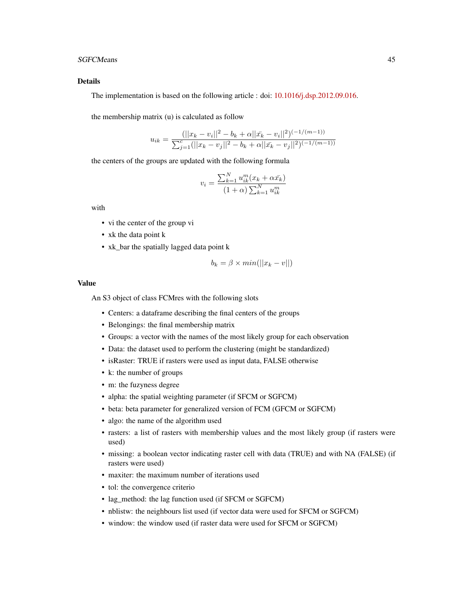#### SGFCMeans 45

#### Details

The implementation is based on the following article : doi: [10.1016/j.dsp.2012.09.016.](https://doi.org/10.1016/j.dsp.2012.09.016)

the membership matrix (u) is calculated as follow

$$
u_{ik} = \frac{(||x_k - v_i||^2 - b_k + \alpha||\bar{x}_k - v_i||^2)^{(-1/(m-1))}}{\sum_{j=1}^{c} (||x_k - v_j||^2 - b_k + \alpha||\bar{x}_k - v_j||^2)^{(-1/(m-1))}}
$$

the centers of the groups are updated with the following formula

$$
v_i = \frac{\sum_{k=1}^{N} u_{ik}^m(x_k + \alpha \bar{x}_k)}{(1 + \alpha) \sum_{k=1}^{N} u_{ik}^m}
$$

with

- vi the center of the group vi
- xk the data point k
- xk\_bar the spatially lagged data point k

$$
b_k = \beta \times min(||x_k - v||)
$$

#### Value

An S3 object of class FCMres with the following slots

- Centers: a dataframe describing the final centers of the groups
- Belongings: the final membership matrix
- Groups: a vector with the names of the most likely group for each observation
- Data: the dataset used to perform the clustering (might be standardized)
- isRaster: TRUE if rasters were used as input data, FALSE otherwise
- k: the number of groups
- m: the fuzyness degree
- alpha: the spatial weighting parameter (if SFCM or SGFCM)
- beta: beta parameter for generalized version of FCM (GFCM or SGFCM)
- algo: the name of the algorithm used
- rasters: a list of rasters with membership values and the most likely group (if rasters were used)
- missing: a boolean vector indicating raster cell with data (TRUE) and with NA (FALSE) (if rasters were used)
- maxiter: the maximum number of iterations used
- tol: the convergence criterio
- lag\_method: the lag function used (if SFCM or SGFCM)
- nblistw: the neighbours list used (if vector data were used for SFCM or SGFCM)
- window: the window used (if raster data were used for SFCM or SGFCM)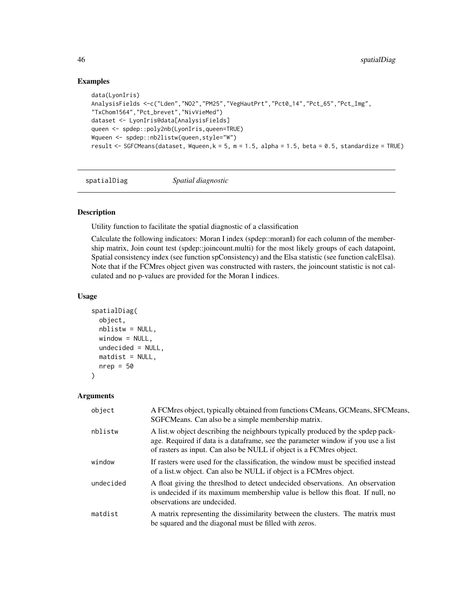### Examples

```
data(LyonIris)
AnalysisFields <-c("Lden","NO2","PM25","VegHautPrt","Pct0_14","Pct_65","Pct_Img",
"TxChom1564","Pct_brevet","NivVieMed")
dataset <- LyonIris@data[AnalysisFields]
queen <- spdep::poly2nb(LyonIris,queen=TRUE)
Wqueen <- spdep::nb2listw(queen,style="W")
result \leq SGFCMeans(dataset, Wqueen, k = 5, m = 1.5, alpha = 1.5, beta = 0.5, standardize = TRUE)
```
spatialDiag *Spatial diagnostic*

### Description

Utility function to facilitate the spatial diagnostic of a classification

Calculate the following indicators: Moran I index (spdep::moranI) for each column of the membership matrix, Join count test (spdep::joincount.multi) for the most likely groups of each datapoint, Spatial consistency index (see function spConsistency) and the Elsa statistic (see function calcElsa). Note that if the FCMres object given was constructed with rasters, the joincount statistic is not calculated and no p-values are provided for the Moran I indices.

#### Usage

```
spatialDiag(
  object,
  nblistw = NULL,
  window = NULL,
  undecided = NULL,
  mattist = NULL,nrep = 50)
```
#### Arguments

| object    | A FCMres object, typically obtained from functions CMeans, GCMeans, SFCMeans,<br>SGFCMeans. Can also be a simple membership matrix.                                                                                                         |
|-----------|---------------------------------------------------------------------------------------------------------------------------------------------------------------------------------------------------------------------------------------------|
| nblistw   | A list, w object describing the neighbours typically produced by the spdep pack-<br>age. Required if data is a dataframe, see the parameter window if you use a list<br>of rasters as input. Can also be NULL if object is a FCMres object. |
| window    | If rasters were used for the classification, the window must be specified instead<br>of a list.w object. Can also be NULL if object is a FCMres object.                                                                                     |
| undecided | A float giving the threshod to detect undecided observations. An observation<br>is undecided if its maximum membership value is bellow this float. If null, no<br>observations are undecided.                                               |
| matdist   | A matrix representing the dissimilarity between the clusters. The matrix must<br>be squared and the diagonal must be filled with zeros.                                                                                                     |

<span id="page-45-0"></span>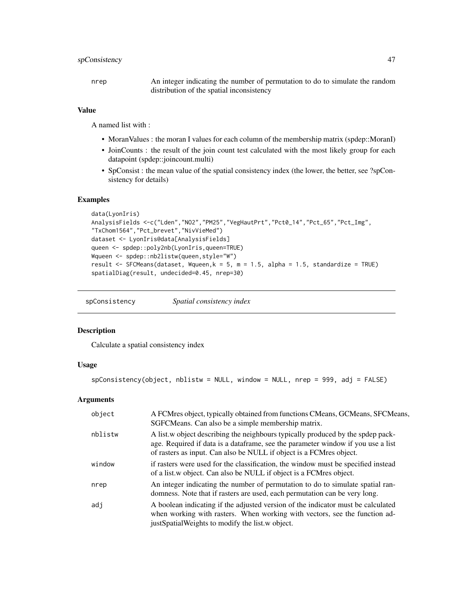### <span id="page-46-0"></span>spConsistency 47

nrep An integer indicating the number of permutation to do to simulate the random distribution of the spatial inconsistency

#### Value

A named list with :

- MoranValues : the moran I values for each column of the membership matrix (spdep::MoranI)
- JoinCounts : the result of the join count test calculated with the most likely group for each datapoint (spdep::joincount.multi)
- SpConsist : the mean value of the spatial consistency index (the lower, the better, see ?spConsistency for details)

### Examples

```
data(LyonIris)
AnalysisFields <-c("Lden","NO2","PM25","VegHautPrt","Pct0_14","Pct_65","Pct_Img",
"TxChom1564","Pct_brevet","NivVieMed")
dataset <- LyonIris@data[AnalysisFields]
queen <- spdep::poly2nb(LyonIris,queen=TRUE)
Wqueen <- spdep::nb2listw(queen,style="W")
result <- SFCMeans(dataset, Wqueen,k = 5, m = 1.5, alpha = 1.5, standardize = TRUE)
spatialDiag(result, undecided=0.45, nrep=30)
```
spConsistency *Spatial consistency index*

### Description

Calculate a spatial consistency index

### Usage

```
spConsistency(object, nblistw = NULL, window = NULL, nrep = 999, adj = FALSE)
```
### Arguments

| object  | A FCMres object, typically obtained from functions CMeans, GCMeans, SFCMeans,<br>SGFCMeans. Can also be a simple membership matrix.                                                                                                         |
|---------|---------------------------------------------------------------------------------------------------------------------------------------------------------------------------------------------------------------------------------------------|
| nblistw | A list, w object describing the neighbours typically produced by the spdep pack-<br>age. Required if data is a dataframe, see the parameter window if you use a list<br>of rasters as input. Can also be NULL if object is a FCMres object. |
| window  | if rasters were used for the classification, the window must be specified instead<br>of a list.w object. Can also be NULL if object is a FCMres object.                                                                                     |
| nrep    | An integer indicating the number of permutation to do to simulate spatial ran-<br>domness. Note that if rasters are used, each permutation can be very long.                                                                                |
| adj     | A boolean indicating if the adjusted version of the indicator must be calculated<br>when working with rasters. When working with vectors, see the function ad-<br>just Spatial Weights to modify the list w object.                         |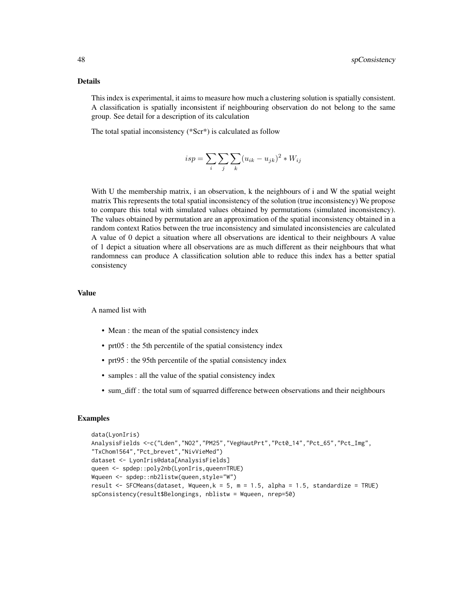#### Details

This index is experimental, it aims to measure how much a clustering solution is spatially consistent. A classification is spatially inconsistent if neighbouring observation do not belong to the same group. See detail for a description of its calculation

The total spatial inconsistency (\*Scr\*) is calculated as follow

$$
isp = \sum_{i} \sum_{j} \sum_{k} (u_{ik} - u_{jk})^2 * W_{ij}
$$

With U the membership matrix, i an observation, k the neighbours of i and W the spatial weight matrix This represents the total spatial inconsistency of the solution (true inconsistency) We propose to compare this total with simulated values obtained by permutations (simulated inconsistency). The values obtained by permutation are an approximation of the spatial inconsistency obtained in a random context Ratios between the true inconsistency and simulated inconsistencies are calculated A value of 0 depict a situation where all observations are identical to their neighbours A value of 1 depict a situation where all observations are as much different as their neighbours that what randomness can produce A classification solution able to reduce this index has a better spatial consistency

#### Value

A named list with

- Mean : the mean of the spatial consistency index
- prt05 : the 5th percentile of the spatial consistency index
- prt95 : the 95th percentile of the spatial consistency index
- samples : all the value of the spatial consistency index
- sum\_diff : the total sum of squarred difference between observations and their neighbours

```
data(LyonIris)
AnalysisFields <-c("Lden","NO2","PM25","VegHautPrt","Pct0_14","Pct_65","Pct_Img",
"TxChom1564","Pct_brevet","NivVieMed")
dataset <- LyonIris@data[AnalysisFields]
queen <- spdep::poly2nb(LyonIris,queen=TRUE)
Wqueen <- spdep::nb2listw(queen,style="W")
result \le SFCMeans(dataset, Wqueen, k = 5, m = 1.5, alpha = 1.5, standardize = TRUE)
spConsistency(result$Belongings, nblistw = Wqueen, nrep=50)
```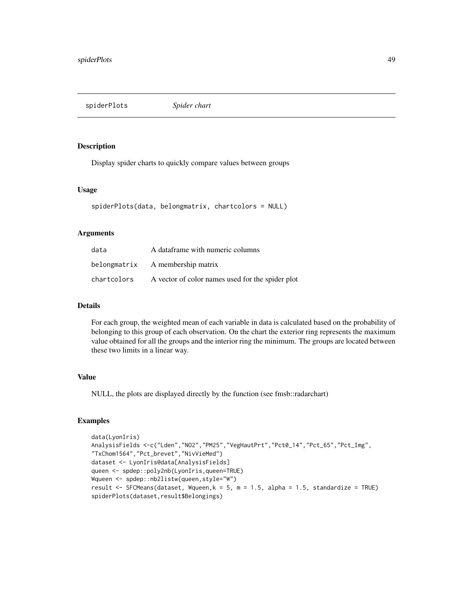<span id="page-48-0"></span>spiderPlots *Spider chart*

#### Description

Display spider charts to quickly compare values between groups

#### Usage

```
spiderPlots(data, belongmatrix, chartcolors = NULL)
```
### Arguments

| data        | A dataframe with numeric columns                 |
|-------------|--------------------------------------------------|
|             | belong matrix A membership matrix                |
| chartcolors | A vector of color names used for the spider plot |

### Details

For each group, the weighted mean of each variable in data is calculated based on the probability of belonging to this group of each observation. On the chart the exterior ring represents the maximum value obtained for all the groups and the interior ring the minimum. The groups are located between these two limits in a linear way.

#### Value

NULL, the plots are displayed directly by the function (see fmsb::radarchart)

```
data(LyonIris)
AnalysisFields <-c("Lden","NO2","PM25","VegHautPrt","Pct0_14","Pct_65","Pct_Img",
"TxChom1564","Pct_brevet","NivVieMed")
dataset <- LyonIris@data[AnalysisFields]
queen <- spdep::poly2nb(LyonIris,queen=TRUE)
Wqueen <- spdep::nb2listw(queen,style="W")
result \le SFCMeans(dataset, Wqueen, k = 5, m = 1.5, alpha = 1.5, standardize = TRUE)
spiderPlots(dataset,result$Belongings)
```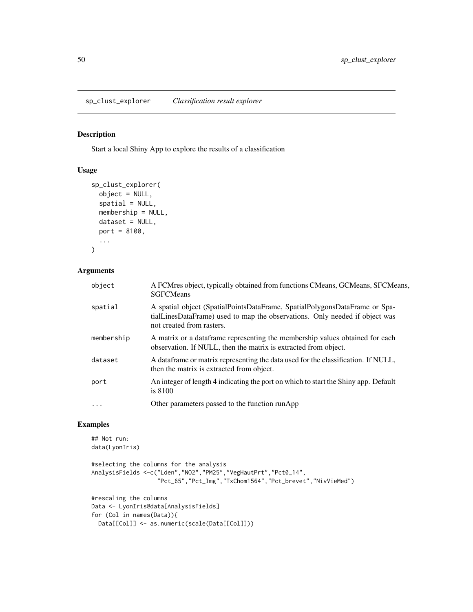<span id="page-49-0"></span>sp\_clust\_explorer *Classification result explorer*

#### Description

Start a local Shiny App to explore the results of a classification

### Usage

```
sp_clust_explorer(
 object = NULL,spatial = NULL,membership = NULL,
 dataset = NULL,port = 8100,
  ...
)
```
### Arguments

| object     | A FCMres object, typically obtained from functions CMeans, GCMeans, SFCMeans,<br><b>SGFCMeans</b>                                                                                      |
|------------|----------------------------------------------------------------------------------------------------------------------------------------------------------------------------------------|
| spatial    | A spatial object (SpatialPointsDataFrame, SpatialPolygonsDataFrame or Spa-<br>tialLinesDataFrame) used to map the observations. Only needed if object was<br>not created from rasters. |
| membership | A matrix or a data frame representing the membership values obtained for each<br>observation. If NULL, then the matrix is extracted from object.                                       |
| dataset    | A data frame or matrix representing the data used for the classification. If NULL,<br>then the matrix is extracted from object.                                                        |
| port       | An integer of length 4 indicating the port on which to start the Shiny app. Default<br>is $8100$                                                                                       |
| $\cdots$   | Other parameters passed to the function runApp                                                                                                                                         |

```
## Not run:
data(LyonIris)
#selecting the columns for the analysis
AnalysisFields <-c("Lden","NO2","PM25","VegHautPrt","Pct0_14",
                   "Pct_65","Pct_Img","TxChom1564","Pct_brevet","NivVieMed")
#rescaling the columns
Data <- LyonIris@data[AnalysisFields]
for (Col in names(Data)){
 Data[[Col]] <- as.numeric(scale(Data[[Col]]))
```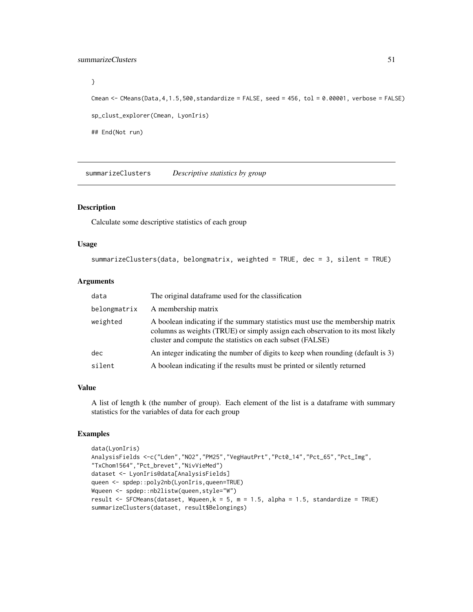### <span id="page-50-0"></span>summarizeClusters 51

```
}
Cmean <- CMeans(Data, 4, 1.5,500, standardize = FALSE, seed = 456, tol = 0.00001, verbose = FALSE)
sp_clust_explorer(Cmean, LyonIris)
## End(Not run)
```
summarizeClusters *Descriptive statistics by group*

#### Description

Calculate some descriptive statistics of each group

#### Usage

```
summarizeClusters(data, belongmatrix, weighted = TRUE, dec = 3, silent = TRUE)
```
#### Arguments

| data         | The original data frame used for the classification                                                                                                                                                                          |
|--------------|------------------------------------------------------------------------------------------------------------------------------------------------------------------------------------------------------------------------------|
| belongmatrix | A membership matrix                                                                                                                                                                                                          |
| weighted     | A boolean indicating if the summary statistics must use the membership matrix<br>columns as weights (TRUE) or simply assign each observation to its most likely<br>cluster and compute the statistics on each subset (FALSE) |
| dec.         | An integer indicating the number of digits to keep when rounding (default is 3)                                                                                                                                              |
| silent       | A boolean indicating if the results must be printed or silently returned                                                                                                                                                     |

### Value

A list of length k (the number of group). Each element of the list is a dataframe with summary statistics for the variables of data for each group

```
data(LyonIris)
AnalysisFields <-c("Lden","NO2","PM25","VegHautPrt","Pct0_14","Pct_65","Pct_Img",
"TxChom1564","Pct_brevet","NivVieMed")
dataset <- LyonIris@data[AnalysisFields]
queen <- spdep::poly2nb(LyonIris,queen=TRUE)
Wqueen <- spdep::nb2listw(queen,style="W")
result \le SFCMeans(dataset, Wqueen, k = 5, m = 1.5, alpha = 1.5, standardize = TRUE)
summarizeClusters(dataset, result$Belongings)
```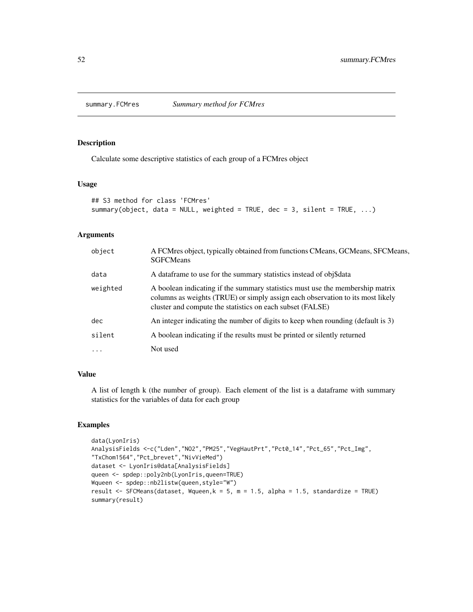<span id="page-51-0"></span>

Calculate some descriptive statistics of each group of a FCMres object

### Usage

```
## S3 method for class 'FCMres'
summary(object, data = NULL, weighted = TRUE, dec = 3, silent = TRUE, ...)
```
### Arguments

| object   | A FCMres object, typically obtained from functions CMeans, GCMeans, SFCMeans,<br><b>SGFCMeans</b>                                                                                                                            |
|----------|------------------------------------------------------------------------------------------------------------------------------------------------------------------------------------------------------------------------------|
| data     | A data frame to use for the summary statistics instead of obj\$data                                                                                                                                                          |
| weighted | A boolean indicating if the summary statistics must use the membership matrix<br>columns as weights (TRUE) or simply assign each observation to its most likely<br>cluster and compute the statistics on each subset (FALSE) |
| dec      | An integer indicating the number of digits to keep when rounding (default is 3)                                                                                                                                              |
| silent   | A boolean indicating if the results must be printed or silently returned                                                                                                                                                     |
| .        | Not used                                                                                                                                                                                                                     |

### Value

A list of length k (the number of group). Each element of the list is a dataframe with summary statistics for the variables of data for each group

```
data(LyonIris)
AnalysisFields <-c("Lden","NO2","PM25","VegHautPrt","Pct0_14","Pct_65","Pct_Img",
"TxChom1564","Pct_brevet","NivVieMed")
dataset <- LyonIris@data[AnalysisFields]
queen <- spdep::poly2nb(LyonIris,queen=TRUE)
Wqueen <- spdep::nb2listw(queen,style="W")
result <- SFCMeans(dataset, Wqueen,k = 5, m = 1.5, alpha = 1.5, standardize = TRUE)
summary(result)
```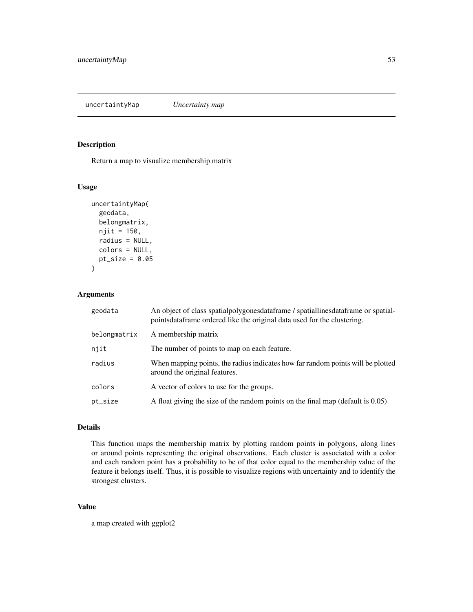<span id="page-52-0"></span>uncertaintyMap *Uncertainty map*

#### Description

Return a map to visualize membership matrix

#### Usage

```
uncertaintyMap(
  geodata,
  belongmatrix,
  njit = 150,
  radius = NULL,
  colors = NULL,
  pt\_size = 0.05\mathcal{E}
```
### Arguments

| geodata      | An object of class spatial polygones data frame / spatial lines data frame or spatial-<br>pointsdataframe ordered like the original data used for the clustering. |
|--------------|-------------------------------------------------------------------------------------------------------------------------------------------------------------------|
| belongmatrix | A membership matrix                                                                                                                                               |
| njit         | The number of points to map on each feature.                                                                                                                      |
| radius       | When mapping points, the radius indicates how far random points will be plotted<br>around the original features.                                                  |
| colors       | A vector of colors to use for the groups.                                                                                                                         |
| pt_size      | A float giving the size of the random points on the final map (default is 0.05)                                                                                   |

### Details

This function maps the membership matrix by plotting random points in polygons, along lines or around points representing the original observations. Each cluster is associated with a color and each random point has a probability to be of that color equal to the membership value of the feature it belongs itself. Thus, it is possible to visualize regions with uncertainty and to identify the strongest clusters.

### Value

a map created with ggplot2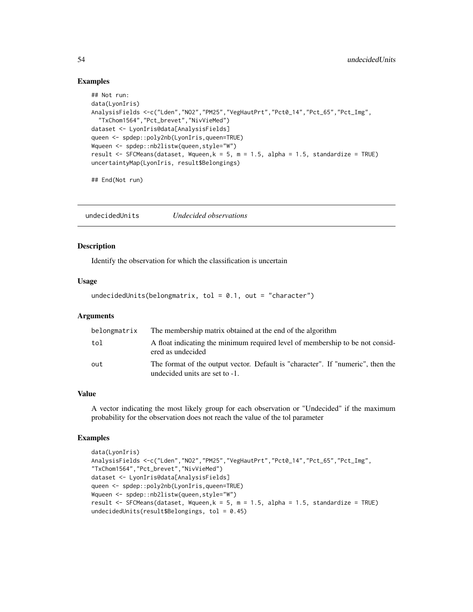#### Examples

```
## Not run:
data(LyonIris)
AnalysisFields <-c("Lden","NO2","PM25","VegHautPrt","Pct0_14","Pct_65","Pct_Img",
  "TxChom1564","Pct_brevet","NivVieMed")
dataset <- LyonIris@data[AnalysisFields]
queen <- spdep::poly2nb(LyonIris,queen=TRUE)
Wqueen <- spdep::nb2listw(queen,style="W")
result <- SFCMeans(dataset, Wqueen,k = 5, m = 1.5, alpha = 1.5, standardize = TRUE)
uncertaintyMap(LyonIris, result$Belongings)
```
## End(Not run)

undecidedUnits *Undecided observations*

### Description

Identify the observation for which the classification is uncertain

#### Usage

```
undecidedUnits(belongmatrix, tol = 0.1, out = "character")
```
#### Arguments

| belongmatrix | The membership matrix obtained at the end of the algorithm                                                        |
|--------------|-------------------------------------------------------------------------------------------------------------------|
| tol          | A float indicating the minimum required level of membership to be not consider-<br>ered as undecided              |
| out          | The format of the output vector. Default is "character". If "numeric", then the<br>undecided units are set to -1. |

### Value

A vector indicating the most likely group for each observation or "Undecided" if the maximum probability for the observation does not reach the value of the tol parameter

```
data(LyonIris)
AnalysisFields <-c("Lden","NO2","PM25","VegHautPrt","Pct0_14","Pct_65","Pct_Img",
"TxChom1564","Pct_brevet","NivVieMed")
dataset <- LyonIris@data[AnalysisFields]
queen <- spdep::poly2nb(LyonIris,queen=TRUE)
Wqueen <- spdep::nb2listw(queen,style="W")
result \le SFCMeans(dataset, Wqueen, k = 5, m = 1.5, alpha = 1.5, standardize = TRUE)
undecidedUnits(result$Belongings, tol = 0.45)
```
<span id="page-53-0"></span>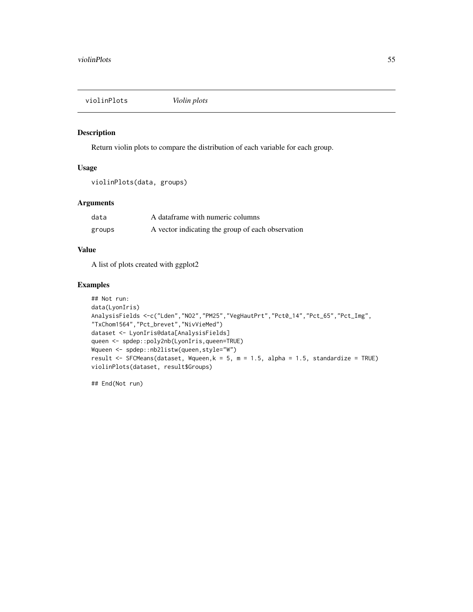<span id="page-54-0"></span>violinPlots *Violin plots*

### Description

Return violin plots to compare the distribution of each variable for each group.

#### Usage

```
violinPlots(data, groups)
```
### Arguments

| data   | A dataframe with numeric columns                  |
|--------|---------------------------------------------------|
| groups | A vector indicating the group of each observation |

#### Value

A list of plots created with ggplot2

### Examples

```
## Not run:
data(LyonIris)
AnalysisFields <-c("Lden","NO2","PM25","VegHautPrt","Pct0_14","Pct_65","Pct_Img",
"TxChom1564","Pct_brevet","NivVieMed")
dataset <- LyonIris@data[AnalysisFields]
queen <- spdep::poly2nb(LyonIris,queen=TRUE)
Wqueen <- spdep::nb2listw(queen,style="W")
result <- SFCMeans(dataset, Wqueen, k = 5, m = 1.5, alpha = 1.5, standardize = TRUE)
violinPlots(dataset, result$Groups)
```
## End(Not run)